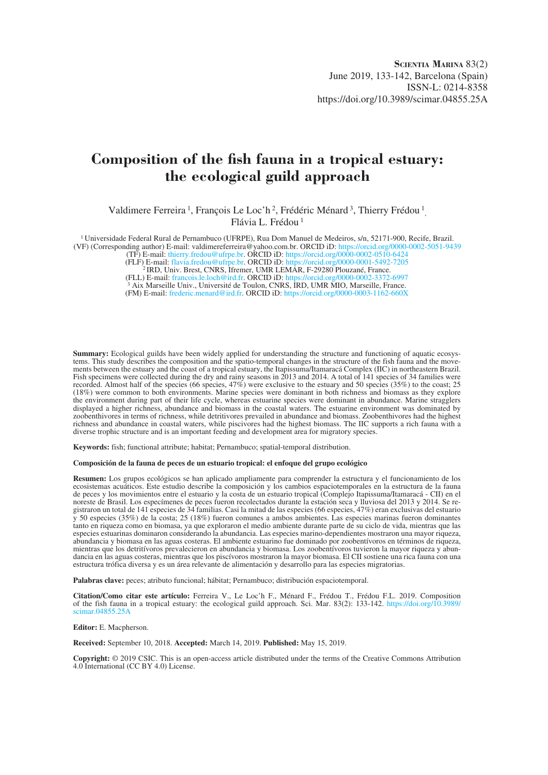## **Composition of the fish fauna in a tropical estuary: the ecological guild approach**

Valdimere Ferreira<sup>1</sup>, François Le Loc'h<sup>2</sup>, Frédéric Ménard<sup>3</sup>, Thierry Frédou<sup>1</sup>, Flávia L. Frédou 1

1 Universidade Federal Rural de Pernambuco (UFRPE), Rua Dom Manuel de Medeiros, s/n, 52171-900, Recife, Brazil. (VF) (Corresponding author) E-mail: valdimereferreira@yahoo.com.br. ORCID iD: <https://orcid.org/0000-0002-5051-9439>

(TF) E-mail: [thierry.fredou@ufrpe.br.](mailto:thierry.fredou@ufrpe.br) ORCID iD:<https://orcid.org/0000-0002-0510-6424>

(FLF) E-mail: [flavia.fredou@ufrpe.br.](mailto:flavia.fredou@ufrpe.br) ORCID iD: <https://orcid.org/0000-0001-5492-7205> 2 IRD, Univ. Brest, CNRS, Ifremer, UMR LEMAR, F-29280 Plouzané, France.

<sup>2</sup> IRD, Univ. Brest, CNRS, Ifremer, UMR LEMÅR, F-29280 Plouzané, France.<br>(FLL) E-mail: [francois.le.loch@ird.fr](mailto:francois.le.loch@ird.fr). ORCID iD:<https://orcid.org/0000-0002-3372-6997><br><sup>3</sup> Aix Marseille Univ., Université de Toulon, CNRS, IRD, UM

(FM) E-mail: [frederic.menard@ird.fr.](mailto:frederic.menard@ird.fr) ORCID iD: <https://orcid.org/0000-0003-1162-660X>

**Summary:** Ecological guilds have been widely applied for understanding the structure and functioning of aquatic ecosystems. This study describes the composition and the spatio-temporal changes in the structure of the fish fauna and the movements between the estuary and the coast of a tropical estuary, the Itapissuma/Itamaracá Complex (IIC) in northeastern Brazil. Fish specimens were collected during the dry and rainy seasons in 2013 and 2014. A total of 141 species of 34 families were recorded. Almost half of the species (66 species, 47%) were exclusive to the estuary and 50 species (35%) to the coast; 25 (18%) were common to both environments. Marine species were dominant in both richness and biomass as they explore the environment during part of their life cycle, whereas estuarine species were dominant in abundance. Marine stragglers displayed a higher richness, abundance and biomass in the coastal waters. The estuarine environment was dominated by zoobenthivores in terms of richness, while detritivores prevailed in abundance and biomass. Zoobenthivores had the highest richness and abundance in coastal waters, while piscivores had the highest biomass. The IIC supports a rich fauna with a diverse trophic structure and is an important feeding and development area for migratory species.

**Keywords:** fish; functional attribute; habitat; Pernambuco; spatial-temporal distribution.

#### **Composición de la fauna de peces de un estuario tropical: el enfoque del grupo ecológico**

**Resumen:** Los grupos ecológicos se han aplicado ampliamente para comprender la estructura y el funcionamiento de los ecosistemas acuáticos. Este estudio describe la composición y los cambios espaciotemporales en la estructura de la fauna de peces y los movimientos entre el estuario y la costa de un estuario tropical (Complejo Itapissuma/Itamaracá - CII) en el noreste de Brasil. Los especímenes de peces fueron recolectados durante la estación seca y lluviosa del 2013 y 2014. Se registraron un total de 141 especies de 34 familias. Casi la mitad de las especies (66 especies, 47%) eran exclusivas del estuario y 50 especies (35%) de la costa; 25 (18%) fueron comunes a ambos ambientes. Las especies marinas fueron dominantes tanto en riqueza como en biomasa, ya que exploraron el medio ambiente durante parte de su ciclo de vida, mientras que las especies estuarinas dominaron considerando la abundancia. Las especies marino-dependientes mostraron una mayor riqueza, abundancia y biomasa en las aguas costeras. El ambiente estuarino fue dominado por zoobentívoros en términos de riqueza, dancia en las aguas costeras, mientras que los piscívoros mostraron la mayor biomasa. El CII sostiene una rica fauna con una estructura trófica diversa y es un área relevante de alimentación y desarrollo para las especies migratorias.

**Palabras clave:** peces; atributo funcional; hábitat; Pernambuco; distribución espaciotemporal.

**Citation/Como citar este artículo:** Ferreira V., Le Loc'h F., Ménard F., Frédou T., Frédou F.L. 2019. Composition of the fish fauna in a tropical estuary: the ecological guild approach. Sci. Mar. 83(2): 133-142. [https://doi.org/10.3989/](https://doi.org/10.3989/scimar.04855.25A) [scimar.04855.25A](https://doi.org/10.3989/scimar.04855.25A)

#### **Editor:** E. Macpherson.

**Received:** September 10, 2018. **Accepted:** March 14, 2019. **Published:** May 15, 2019.

**Copyright:** © 2019 CSIC. This is an open-access article distributed under the terms of the Creative Commons Attribution 4.0 International (CC BY 4.0) License.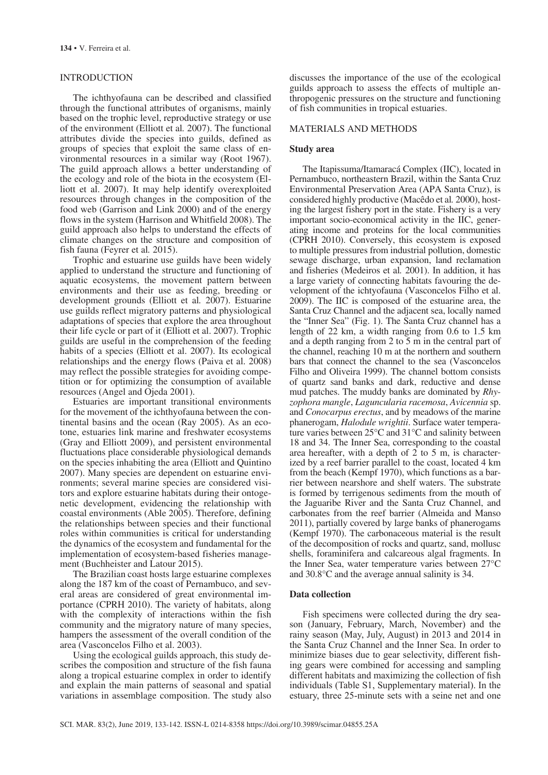## INTRODUCTION

The ichthyofauna can be described and classified through the functional attributes of organisms, mainly based on the trophic level, reproductive strategy or use of the environment (Elliott et al*.* 2007). The functional attributes divide the species into guilds, defined as groups of species that exploit the same class of environmental resources in a similar way (Root 1967). The guild approach allows a better understanding of the ecology and role of the biota in the ecosystem (Elliott et al. 2007). It may help identify overexploited resources through changes in the composition of the food web (Garrison and Link 2000) and of the energy flows in the system (Harrison and Whitfield 2008). The guild approach also helps to understand the effects of climate changes on the structure and composition of fish fauna (Feyrer et al*.* 2015).

Trophic and estuarine use guilds have been widely applied to understand the structure and functioning of aquatic ecosystems, the movement pattern between environments and their use as feeding, breeding or development grounds (Elliott et al*.* 2007). Estuarine use guilds reflect migratory patterns and physiological adaptations of species that explore the area throughout their life cycle or part of it (Elliott et al. 2007). Trophic guilds are useful in the comprehension of the feeding habits of a species (Elliott et al. 2007). Its ecological relationships and the energy flows (Paiva et al. 2008) may reflect the possible strategies for avoiding competition or for optimizing the consumption of available resources (Angel and Ojeda 2001).

Estuaries are important transitional environments for the movement of the ichthyofauna between the continental basins and the ocean (Ray 2005). As an ecotone, estuaries link marine and freshwater ecosystems (Gray and Elliott 2009), and persistent environmental fluctuations place considerable physiological demands on the species inhabiting the area (Elliott and Quintino 2007). Many species are dependent on estuarine environments; several marine species are considered visitors and explore estuarine habitats during their ontogenetic development, evidencing the relationship with coastal environments (Able 2005). Therefore, defining the relationships between species and their functional roles within communities is critical for understanding the dynamics of the ecosystem and fundamental for the implementation of ecosystem-based fisheries management (Buchheister and Latour 2015).

The Brazilian coast hosts large estuarine complexes along the 187 km of the coast of Pernambuco, and several areas are considered of great environmental importance (CPRH 2010). The variety of habitats, along with the complexity of interactions within the fish community and the migratory nature of many species, hampers the assessment of the overall condition of the area (Vasconcelos Filho et al. 2003).

Using the ecological guilds approach, this study describes the composition and structure of the fish fauna along a tropical estuarine complex in order to identify and explain the main patterns of seasonal and spatial variations in assemblage composition. The study also discusses the importance of the use of the ecological guilds approach to assess the effects of multiple anthropogenic pressures on the structure and functioning of fish communities in tropical estuaries.

## MATERIALS AND METHODS

#### **Study area**

The Itapissuma/Itamaracá Complex (IIC), located in Pernambuco, northeastern Brazil, within the Santa Cruz Environmental Preservation Area (APA Santa Cruz), is considered highly productive (Macêdo et al*.* 2000), hosting the largest fishery port in the state. Fishery is a very important socio-economical activity in the IIC, generating income and proteins for the local communities (CPRH 2010). Conversely, this ecosystem is exposed to multiple pressures from industrial pollution, domestic sewage discharge, urban expansion, land reclamation and fisheries (Medeiros et al*.* 2001). In addition, it has a large variety of connecting habitats favouring the development of the ichtyofauna (Vasconcelos Filho et al. 2009). The IIC is composed of the estuarine area, the Santa Cruz Channel and the adjacent sea, locally named the "Inner Sea" (Fig. 1). The Santa Cruz channel has a length of 22 km, a width ranging from 0.6 to 1.5 km and a depth ranging from 2 to 5 m in the central part of the channel, reaching 10 m at the northern and southern bars that connect the channel to the sea (Vasconcelos Filho and Oliveira 1999). The channel bottom consists of quartz sand banks and dark, reductive and dense mud patches. The muddy banks are dominated by *Rhyzophora mangle*, *Laguncularia racemosa*, *Avicennia* sp. and *Conocarpus erectus*, and by meadows of the marine phanerogam, *Halodule wrightii*. Surface water temperature varies between 25°C and 31°C and salinity between 18 and 34. The Inner Sea, corresponding to the coastal area hereafter, with a depth of 2 to 5 m, is characterized by a reef barrier parallel to the coast, located 4 km from the beach (Kempf 1970), which functions as a barrier between nearshore and shelf waters. The substrate is formed by terrigenous sediments from the mouth of the Jaguaribe River and the Santa Cruz Channel, and carbonates from the reef barrier (Almeida and Manso 2011), partially covered by large banks of phanerogams (Kempf 1970). The carbonaceous material is the result of the decomposition of rocks and quartz, sand, mollusc shells, foraminifera and calcareous algal fragments. In the Inner Sea, water temperature varies between 27°C and 30.8°C and the average annual salinity is 34.

## **Data collection**

Fish specimens were collected during the dry season (January, February, March, November) and the rainy season (May, July, August) in 2013 and 2014 in the Santa Cruz Channel and the Inner Sea. In order to minimize biases due to gear selectivity, different fishing gears were combined for accessing and sampling different habitats and maximizing the collection of fish individuals (Table S1, Supplementary material). In the estuary, three 25-minute sets with a seine net and one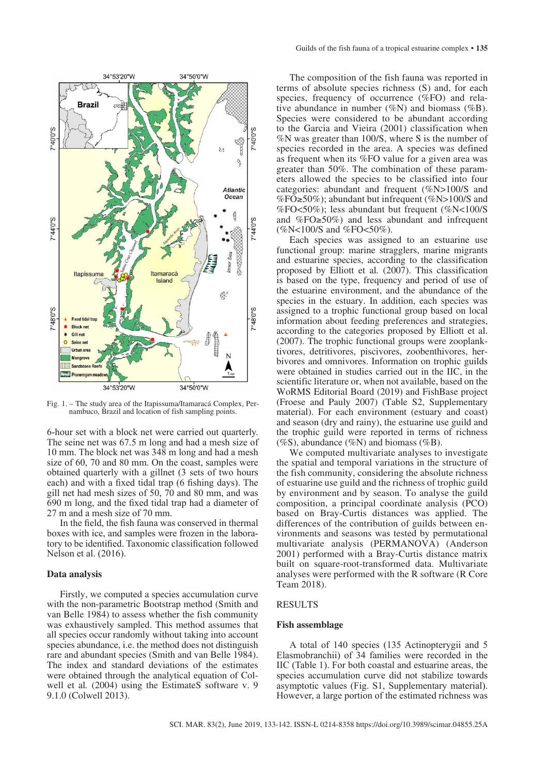

Fig. 1. – The study area of the Itapissuma/Itamaracá Complex, Per- nambuco, Brazil and location of fish sampling points.

6-hour set with a block net were carried out quarterly. The seine net was 67.5 m long and had a mesh size of 10 mm. The block net was 348 m long and had a mesh size of 60, 70 and 80 mm. On the coast, samples were obtained quarterly with a gillnet (3 sets of two hours each) and with a fixed tidal trap (6 fishing days). The gill net had mesh sizes of 50, 70 and 80 mm, and was 690 m long, and the fixed tidal trap had a diameter of 27 m and a mesh size of 70 mm.

In the field, the fish fauna was conserved in thermal boxes with ice, and samples were frozen in the laboratory to be identified. Taxonomic classification followed Nelson et al. (2016).

#### **Data analysis**

Firstly, we computed a species accumulation curve with the non-parametric Bootstrap method (Smith and van Belle 1984) to assess whether the fish community was exhaustively sampled. This method assumes that all species occur randomly without taking into account species abundance, i.e. the method does not distinguish rare and abundant species (Smith and van Belle 1984). The index and standard deviations of the estimates were obtained through the analytical equation of Colwell et al*.* (2004) using the EstimateS software v. 9 9.1.0 (Colwell 2013).

The composition of the fish fauna was reported in terms of absolute species richness (S) and, for each species, frequency of occurrence (%FO) and relative abundance in number (%N) and biomass (%B). Species were considered to be abundant according to the Garcia and Vieira (2001) classification when %N was greater than 100/S, where S is the number of species recorded in the area. A species was defined as frequent when its %FO value for a given area was greater than 50%. The combination of these parameters allowed the species to be classified into four categories: abundant and frequent (%N>100/S and %FO≥50%); abundant but infrequent (%N>100/S and %FO<50%); less abundant but frequent (%N<100/S and %FO≥50%) and less abundant and infrequent  $(\%N<100/S$  and  $\%FO<50\%$ ).

Each species was assigned to an estuarine use functional group: marine stragglers, marine migrants and estuarine species, according to the classification proposed by Elliott et al*.* (2007). This classification is based on the type, frequency and period of use of the estuarine environment, and the abundance of the species in the estuary. In addition, each species was assigned to a trophic functional group based on local information about feeding preferences and strategies, according to the categories proposed by Elliott et al. (2007). The trophic functional groups were zooplanktivores, detritivores, piscivores, zoobenthivores, herbivores and omnivores. Information on trophic guilds were obtained in studies carried out in the IIC, in the scientific literature or, when not available, based on the WoRMS Editorial Board (2019) and FishBase project (Froese and Pauly 2007) (Table S2, Supplementary material). For each environment (estuary and coast) and season (dry and rainy), the estuarine use guild and the trophic guild were reported in terms of richness (%S), abundance (%N) and biomass (%B).

We computed multivariate analyses to investigate the spatial and temporal variations in the structure of the fish community, considering the absolute richness of estuarine use guild and the richness of trophic guild by environment and by season. To analyse the guild composition, a principal coordinate analysis (PCO) based on Bray-Curtis distances was applied. The differences of the contribution of guilds between environments and seasons was tested by permutational multivariate analysis (PERMANOVA) (Anderson 2001) performed with a Bray-Curtis distance matrix built on square-root-transformed data. Multivariate analyses were performed with the R software (R Core Team 2018).

#### RESULTS

#### **Fish assemblage**

A total of 140 species (135 Actinopterygii and 5 Elasmobranchii) of 34 families were recorded in the IIC (Table 1). For both coastal and estuarine areas, the species accumulation curve did not stabilize towards asymptotic values (Fig. S1, Supplementary material). However, a large portion of the estimated richness was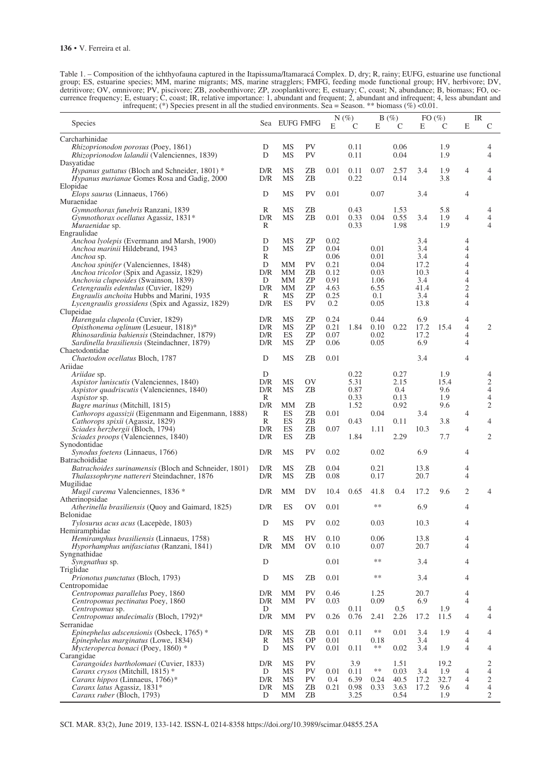| Table 1. – Composition of the ichthyofauna captured in the Itapissuma/Itamaracá Complex. D, dry; R, rainy; EUFG, estuarine use functional     |
|-----------------------------------------------------------------------------------------------------------------------------------------------|
| group; ES, estuarine species; MM, marine migrants; MS, marine stragglers; FMFG, feeding mode functional group; HV, herbivore; DV,             |
| detritivore; OV, omnivore; PV, piscivore; ZB, zoobenthivore; ZP, zooplanktivore; E, estuary; C, coast; N, abundance; B, biomass; FO, oc-      |
| currence frequency; E, estuary; C, coast; IR, relative importance: 1, abundant and frequent; 2, abundant and infrequent; 4, less abundant and |
| infrequent; (*) Species present in all the studied environments. Sea = Season. ** biomass (%) <0.01.                                          |

| Species                                                                                       |            | Sea EUFG FMFG |                 |              | $N(\%)$      |              | B(%)         |              | FO $(\% )$  |                                  | IR                           |
|-----------------------------------------------------------------------------------------------|------------|---------------|-----------------|--------------|--------------|--------------|--------------|--------------|-------------|----------------------------------|------------------------------|
|                                                                                               |            |               |                 | E            | C            | E            | C            | E            | C           | Е                                | C                            |
| Carcharhinidae<br>Rhizoprionodon porosus (Poey, 1861)                                         | D          | MS            | <b>PV</b>       |              | 0.11         |              | 0.06         |              | 1.9         |                                  | 4                            |
| Rhizoprionodon lalandii (Valenciennes, 1839)                                                  | D          | MS            | <b>PV</b>       |              | 0.11         |              | 0.04         |              | 1.9         |                                  | $\overline{4}$               |
| Dasyatidae                                                                                    |            |               |                 |              |              |              |              |              |             |                                  |                              |
| Hypanus guttatus (Bloch and Schneider, 1801) <sup>*</sup>                                     | D/R        | MS            | ZΒ              | 0.01         | 0.11         | 0.07         | 2.57         | 3.4          | 1.9         | $\overline{4}$                   | 4                            |
| Hypanus marianae Gomes Rosa and Gadig, 2000<br>Elopidae                                       | D/R        | MS            | ZΒ              |              | 0.22         |              | 0.14         |              | 3.8         |                                  | $\overline{4}$               |
| Elops saurus (Linnaeus, 1766)                                                                 | D          | MS            | <b>PV</b>       | 0.01         |              | 0.07         |              | 3.4          |             | $\overline{4}$                   |                              |
| Muraenidae                                                                                    |            |               |                 |              |              |              |              |              |             |                                  |                              |
| Gymnothorax funebris Ranzani, 1839                                                            | R          | MS            | ZB              |              | 0.43         |              | 1.53         |              | 5.8         |                                  | 4                            |
| Gymnothorax ocellatus Agassiz, 1831*<br>Muraenidae sp.                                        | D/R<br>R   | MS            | ZΒ              | 0.01         | 0.33<br>0.33 | 0.04         | 0.55<br>1.98 | 3.4          | 1.9<br>1.9  | $\overline{4}$                   | $\overline{4}$<br>4          |
| Engraulidae                                                                                   |            |               |                 |              |              |              |              |              |             |                                  |                              |
| Anchoa lyolepis (Evermann and Marsh, 1900)                                                    | D          | MS            | ZΡ              | 0.02         |              |              |              | 3.4          |             | 4                                |                              |
| Anchoa marinii Hildebrand, 1943                                                               | D<br>R     | МS            | ΖP              | 0.04<br>0.06 |              | 0.01<br>0.01 |              | 3.4<br>3.4   |             | 4<br>$\overline{4}$              |                              |
| Anchoa sp.<br>Anchoa spinifer (Valenciennes, 1848)                                            | D          | MМ            | <b>PV</b>       | 0.21         |              | 0.04         |              | 17.2         |             | $\overline{\mathcal{A}}$         |                              |
| Anchoa tricolor (Spix and Agassiz, 1829)                                                      | D/R        | MМ            | ZΒ              | 0.12         |              | 0.03         |              | 10.3         |             | $\overline{4}$                   |                              |
| Anchovia clupeoides (Swainson, 1839)                                                          | D          | MМ            | ΖP              | 0.91         |              | 1.06         |              | 3.4          |             | 4                                |                              |
| Cetengraulis edentulus (Cuvier, 1829)                                                         | D/R        | MМ<br>MS      | ΖP<br>ΖP        | 4.63         |              | 6.55         |              | 41.4<br>3.4  |             | $\overline{c}$<br>$\overline{4}$ |                              |
| Engraulis anchoita Hubbs and Marini, 1935<br>Lycengraulis grossidens (Spix and Agassiz, 1829) | R<br>D/R   | ES            | <b>PV</b>       | 0.25<br>0.2  |              | 0.1<br>0.05  |              | 13.8         |             | $\overline{4}$                   |                              |
| Clupeidae                                                                                     |            |               |                 |              |              |              |              |              |             |                                  |                              |
| Harengula clupeola (Cuvier, 1829)                                                             | D/R        | MS            | ΖP              | 0.24         |              | 0.44         |              | 6.9          |             | 4                                |                              |
| Opisthonema oglinum (Lesueur, 1818)*                                                          | D/R        | MS            | ΖP              | 0.21         | 1.84         | 0.10         | 0.22         | 17.2         | 15.4        | 4<br>$\overline{4}$              | 2                            |
| Rhinosardinia bahiensis (Steindachner, 1879)<br>Sardinella brasiliensis (Steindachner, 1879)  | D/R<br>D/R | ES<br>MS      | ZΡ<br>ΖP        | 0.07<br>0.06 |              | 0.02<br>0.05 |              | 17.2<br>6.9  |             | 4                                |                              |
| Chaetodontidae                                                                                |            |               |                 |              |              |              |              |              |             |                                  |                              |
| Chaetodon ocellatus Bloch, 1787                                                               | D          | MS            | ZΒ              | 0.01         |              |              |              | 3.4          |             | $\overline{4}$                   |                              |
| Ariidae                                                                                       |            |               |                 |              |              |              |              |              |             |                                  |                              |
| Ariidae sp.<br>Aspistor luniscutis (Valenciennes, 1840)                                       | D<br>D/R   | MS            | <b>OV</b>       |              | 0.22<br>5.31 |              | 0.27<br>2.15 |              | 1.9<br>15.4 |                                  | 4<br>$\overline{c}$          |
| Aspistor quadriscutis (Valenciennes, 1840)                                                    | D/R        | <b>MS</b>     | ZΒ              |              | 0.87         |              | 0.4          |              | 9.6         |                                  | $\overline{4}$               |
| <i>Aspistor</i> sp.                                                                           | R          |               |                 |              | 0.33         |              | 0.13         |              | 1.9         |                                  | $\overline{4}$               |
| Bagre marinus (Mitchill, 1815)                                                                | D/R        | MМ            | ZΒ              |              | 1.52         |              | 0.92         |              | 9.6         |                                  | $\mathfrak{2}$               |
| Cathorops agassizii (Eigenmann and Eigenmann, 1888)<br>Cathorops spixii (Agassiz, 1829)       | R<br>R     | ES<br>ES      | ZΒ<br>ZΒ        | 0.01         | 0.43         | 0.04         | 0.11         | 3.4          | 3.8         | $\overline{4}$                   | 4                            |
| Sciades herzbergii (Bloch, 1794)                                                              | D/R        | ES            | ZΒ              | 0.07         |              | 1.11         |              | 10.3         |             | 4                                |                              |
| Sciades proops (Valenciennes, 1840)                                                           | D/R        | ES            | ZΒ              |              | 1.84         |              | 2.29         |              | 7.7         |                                  | 2                            |
| Synodontidae                                                                                  |            |               |                 |              |              |              |              |              |             |                                  |                              |
| Synodus foetens (Linnaeus, 1766)<br>Batrachoididae                                            | D/R        | MS            | <b>PV</b>       | 0.02         |              | 0.02         |              | 6.9          |             | $\overline{4}$                   |                              |
| Batrachoides surinamensis (Bloch and Schneider, 1801)                                         | D/R        | MS            | ZΒ              | 0.04         |              | 0.21         |              | 13.8         |             | 4                                |                              |
| Thalassophryne nattereri Steindachner, 1876                                                   | D/R        | MS            | ΖB              | 0.08         |              | 0.17         |              | 20.7         |             | $\overline{4}$                   |                              |
| Mugilidae                                                                                     |            |               |                 |              |              |              |              |              |             | $\mathfrak{2}$                   | $\overline{4}$               |
| Mugil curema Valenciennes, 1836 *<br>Atherinopsidae                                           | D/R        | MМ            | DV              | 10.4         | 0.65         | 41.8         | 0.4          | 17.2         | 9.6         |                                  |                              |
| Atherinella brasiliensis (Quoy and Gaimard, 1825)                                             | D/R        | ES            | OV              | 0.01         |              | **           |              | 6.9          |             | 4                                |                              |
| <b>Belonidae</b>                                                                              |            |               |                 |              |              |              |              |              |             |                                  |                              |
| Tylosurus acus acus (Lacepède, 1803)<br>Hemiramphidae                                         | D          | MS            | PV              | 0.02         |              | 0.03         |              | 10.3         |             | 4                                |                              |
| Hemiramphus brasiliensis (Linnaeus, 1758)                                                     | R          | MS            | HV              | 0.10         |              | 0.06         |              | 13.8         |             | 4                                |                              |
| Hyporhamphus unifasciatus (Ranzani, 1841)                                                     | D/R        | MM            | 0V              | 0.10         |              | 0.07         |              | 20.7         |             | $\overline{4}$                   |                              |
| Syngnathidae                                                                                  |            |               |                 |              |              |              |              |              |             |                                  |                              |
| <i>Syngnathus</i> sp.<br>Triglidae                                                            | D          |               |                 | 0.01         |              | $***$        |              | 3.4          |             | 4                                |                              |
| Prionotus punctatus (Bloch, 1793)                                                             | D          | <b>MS</b>     | ZB              | 0.01         |              | $***$        |              | 3.4          |             | 4                                |                              |
| Centropomidae                                                                                 |            |               |                 |              |              |              |              |              |             |                                  |                              |
| Centropomus parallelus Poey, 1860                                                             | D/R        | MМ            | PV              | 0.46         |              | 1.25         |              | 20.7         |             | 4                                |                              |
| Centropomus pectinatus Poey, 1860<br>Centropomus sp.                                          | D/R<br>D   | MМ            | PV              | 0.03         | 0.11         | 0.09         | 0.5          | 6.9          | 1.9         | $\overline{4}$                   | 4                            |
| Centropomus undecimalis (Bloch, 1792)*                                                        | D/R        | MМ            | <b>PV</b>       | 0.26         | 0.76         | 2.41         | 2.26         | 17.2         | 11.5        | $\overline{4}$                   | $\overline{4}$               |
| Serranidae                                                                                    |            |               |                 |              |              |              |              |              |             |                                  |                              |
| Epinephelus adscensionis (Osbeck, 1765) *                                                     | D/R        | MS            | ZΒ              | 0.01         | 0.11         | **           | 0.01         | 3.4          | 1.9         | $\overline{4}$                   | 4                            |
| Epinephelus marginatus (Lowe, 1834)                                                           | R<br>D     | MS<br>MS      | <b>OP</b><br>PV | 0.01         | 0.11         | 0.18<br>**   |              | 3.4<br>3.4   | 1.9         | $\overline{4}$<br>$\overline{4}$ | 4                            |
| Mycteroperca bonaci (Poey, 1860) *<br>Carangidae                                              |            |               |                 | 0.01         |              |              | 0.02         |              |             |                                  |                              |
| Carangoides bartholomaei (Cuvier, 1833)                                                       | D/R        | MS            | <b>PV</b>       |              | 3.9          |              | 1.51         |              | 19.2        |                                  | 2                            |
| Caranx crysos (Mitchill, 1815) *                                                              | D          | MS            | PV              | 0.01         | 0.11         | **           | 0.03         | 3.4          | 1.9         | 4                                | 4                            |
| Caranx hippos (Linnaeus, 1766)*<br>Caranx latus Agassiz, 1831*                                | D/R<br>D/R | MS<br>MS      | PV<br>ZB        | 0.4<br>0.21  | 6.39<br>0.98 | 0.24<br>0.33 | 40.5<br>3.63 | 17.2<br>17.2 | 32.7<br>9.6 | 4<br>$\overline{4}$              | $\sqrt{2}$<br>$\overline{4}$ |
| Caranx ruber (Bloch, 1793)                                                                    | D          | MМ            | ZΒ              |              | 3.25         |              | 0.54         |              | 1.9         |                                  | $\overline{2}$               |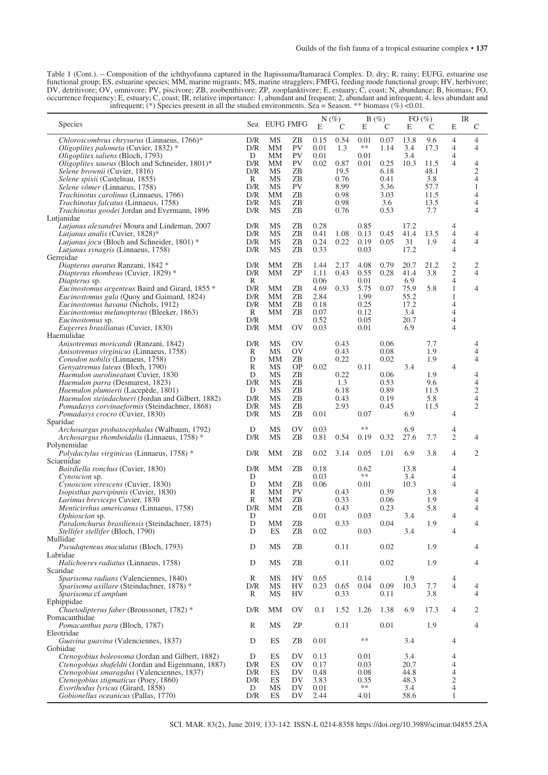Table 1 (Cont.). – Composition of the ichthyofauna captured in the Itapissuma/Itamaracá Complex. D, dry; R, rainy; EUFG, estuarine use functional group; ES, estuarine species; MM, marine migrants; MS, marine stragglers; FMFG, feeding mode functional group; HV, herbivore; DV, detritivore; OV, omnivore; PV, piscivore; ZB, zoobenthivore; ZP, zooplanktivore; E, estuary; C, coast; N, abundance; B, biomass; FO, occurrence frequency; E, estuary; C, coast; IR, relative importance: 1, abundant and frequent; 2, abundant and infrequent; 4, less abundant and infrequent; (\*) Species present in all the studied environments. Sea = Season. \*\* biomass (%) <0.01.

| Species                                                                                                                                                                                                                                                                      |                                           | Sea EUFG FMFG                          |                                               | E                                            | $N(\%)$                                      |                                              | B(%)                                        | FO $(\% )$                                 |                                             |                                                                 | IR                                                              |
|------------------------------------------------------------------------------------------------------------------------------------------------------------------------------------------------------------------------------------------------------------------------------|-------------------------------------------|----------------------------------------|-----------------------------------------------|----------------------------------------------|----------------------------------------------|----------------------------------------------|---------------------------------------------|--------------------------------------------|---------------------------------------------|-----------------------------------------------------------------|-----------------------------------------------------------------|
| Chloroscombrus chrysurus (Linnaeus, 1766)*<br>Oligoplites palometa (Cuvier, 1832) *                                                                                                                                                                                          | D/R<br>D/R                                | MS<br>MМ                               | ZΒ<br>PV                                      | 0.15<br>0.01                                 | C<br>0.54<br>1.3                             | Ε<br>0.01<br>$***$                           | C<br>0.07<br>1.14                           | E<br>13.8<br>3.4                           | C<br>9.6<br>17.3                            | E<br>$\overline{4}$<br>4                                        | $\mathsf{C}$<br>$\overline{4}$<br>4                             |
| Oligoplites saliens (Bloch, 1793)<br>Oligoplites saurus (Bloch and Schneider, 1801)*<br>Selene brownii (Cuvier, 1816)<br>Selene spixii (Castelnau, 1855)<br>Selene vômer (Linnaeus, 1758)<br>Trachinotus carolinus (Linnaeus, 1766)<br>Trachinotus falcatus (Linnaeus, 1758) | D<br>D/R<br>D/R<br>R<br>D/R<br>D/R<br>D/R | MМ<br>MМ<br>MS<br>MS<br>MS<br>MМ<br>MS | PV<br>PV<br>ZΒ<br>ΖB<br><b>PV</b><br>ZΒ<br>ZΒ | 0.01<br>0.02                                 | 0.87<br>19.5<br>0.76<br>8.99<br>0.98<br>0.98 | 0.01<br>0.01                                 | 0.25<br>6.18<br>0.41<br>5.36<br>3.03<br>3.6 | 3.4<br>10.3                                | 11.5<br>48.1<br>3.8<br>57.7<br>11.5<br>13.5 | 4<br>4                                                          | 4<br>$\mathfrak{2}$<br>$\overline{4}$<br>$\mathbf{1}$<br>4<br>4 |
| Trachinotus goodei Jordan and Evermann, 1896                                                                                                                                                                                                                                 | D/R                                       | MS                                     | ZΒ                                            |                                              | 0.76                                         |                                              | 0.53                                        |                                            | 7.7                                         |                                                                 | $\overline{4}$                                                  |
| Lutjanidae<br>Lutjanus alexandrei Moura and Lindeman, 2007<br>Lutjanus analis (Cuvier, 1828)*<br><i>Lutjanus jocu</i> (Bloch and Schneider, 1801) *<br>Lutjanus synagris (Linnaeus, 1758)                                                                                    | D/R<br>D/R<br>D/R<br>D/R                  | MS<br>MS<br>MS<br>MS                   | ΖB<br>ZΒ<br>ΖB<br>ΖB                          | 0.28<br>0.41<br>0.24<br>0.33                 | 1.08<br>0.22                                 | 0.85<br>0.13<br>0.19<br>0.03                 | 0.45<br>0.05                                | 17.2<br>41.4<br>31<br>17.2                 | 13.5<br>1.9                                 | 4<br>4<br>4<br>4                                                | 4<br>$\overline{4}$                                             |
| Gerreidae<br>Diapterus auratus Ranzani, 1842 *                                                                                                                                                                                                                               | D/R                                       | MМ                                     | ΖB                                            | 1.44                                         | 2.17                                         | 4.08                                         | 0.79                                        | 20.7                                       | 21.2                                        | 2                                                               | 2                                                               |
| Diapterus rhombeus (Cuvier, 1829) *<br>Diapterus sp.                                                                                                                                                                                                                         | D/R<br>R                                  | MМ                                     | ΖP                                            | 1.11<br>0.06                                 | 0.43                                         | 0.55<br>0.01                                 | 0.28                                        | 41.4<br>6.9                                | 3.8                                         | $\overline{c}$<br>4                                             | $\overline{4}$                                                  |
| Eucinostomus argenteus Baird and Girard, 1855 *<br>Eucinostomus gula (Quoy and Gaimard, 1824)<br>Eucinostomus havana (Nichols, 1912)<br>Eucinostomus melanopterus (Bleeker, 1863)<br><i>Eucinostomus</i> sp.<br>Eugerres brasilianus (Cuvier, 1830)                          | D/R<br>D/R<br>D/R<br>R<br>D/R<br>D/R      | MМ<br>MМ<br>MМ<br>MМ<br>MМ             | ZΒ<br>ΖB<br>ZΒ<br>ZΒ<br><b>OV</b>             | 4.69<br>2.84<br>0.18<br>0.07<br>0.52<br>0.03 | 0.33                                         | 5.75<br>1.99<br>0.25<br>0.12<br>0.05<br>0.01 | 0.07                                        | 75.9<br>55.2<br>17.2<br>3.4<br>20.7<br>6.9 | 5.8                                         | $\mathbf{1}$<br>1<br>$\overline{4}$<br>$\overline{4}$<br>4<br>4 | 4                                                               |
| Haemulidae<br>Anisotremus moricandi (Ranzani, 1842)                                                                                                                                                                                                                          | D/R                                       | MS                                     | OV                                            |                                              | 0.43                                         |                                              | 0.06                                        |                                            | 7.7                                         |                                                                 | 4                                                               |
| Anisotremus virginicus (Linnaeus, 1758)                                                                                                                                                                                                                                      | R<br>D                                    | MS                                     | OV                                            |                                              | 0.43<br>0.22                                 |                                              | 0.08                                        |                                            | 1.9                                         |                                                                 | $\overline{4}$<br>4                                             |
| Conodon nobilis (Linnaeus, 1758)<br>Genyatremus luteus (Bloch, 1790)                                                                                                                                                                                                         | R                                         | MМ<br>MS                               | ZΒ<br><b>OP</b>                               | 0.02                                         |                                              | 0.11                                         | 0.02                                        | 3.4                                        | 1.9                                         | 4                                                               |                                                                 |
| <i>Haemulon aurolineatum</i> Cuvier, 1830<br>Haemulon parra (Desmarest, 1823)                                                                                                                                                                                                | D<br>D/R                                  | <b>MS</b><br>MS                        | ZΒ<br>ZΒ                                      |                                              | 0.22<br>1.3                                  |                                              | 0.06<br>0.53                                |                                            | 1.9<br>9.6                                  |                                                                 | 4<br>$\overline{4}$                                             |
| Haemulon plumierii (Lacepède, 1801)                                                                                                                                                                                                                                          | D                                         | MS                                     | ΖB                                            |                                              | 6.18                                         |                                              | 0.89                                        |                                            | 11.5                                        |                                                                 | $\overline{\mathbf{c}}$                                         |
| Haemulon steindachneri (Jordan and Gilbert, 1882)<br><i>Pomadasys corvinaeformis</i> (Steindachner, 1868)                                                                                                                                                                    | D/R<br>D/R                                | MS<br>MS                               | ZΒ<br>ZΒ                                      |                                              | 0.43<br>2.93                                 |                                              | 0.19<br>0.45                                |                                            | 5.8<br>11.5                                 |                                                                 | $\sqrt{4}$<br>$\overline{2}$                                    |
| Pomadasys crocro (Cuvier, 1830)                                                                                                                                                                                                                                              | D/R                                       | MS                                     | ΖB                                            | 0.01                                         |                                              | 0.07                                         |                                             | 6.9                                        |                                             | 4                                                               |                                                                 |
| Sparidae                                                                                                                                                                                                                                                                     | D                                         | MS                                     | OV                                            | 0.03                                         |                                              | **                                           |                                             | 6.9                                        |                                             | 4                                                               |                                                                 |
| Archosargus probatocephalus (Walbaum, 1792)<br>Archosargus rhomboidalis (Linnaeus, 1758) *                                                                                                                                                                                   | D/R                                       | MS                                     | ZB                                            | 0.81                                         | 0.54                                         | 0.19                                         | 0.32                                        | 27.6                                       | 7.7                                         | $\overline{2}$                                                  | 4                                                               |
| Polynemidae                                                                                                                                                                                                                                                                  |                                           | MМ                                     |                                               | 0.02                                         |                                              |                                              |                                             |                                            |                                             | 4                                                               | $\overline{c}$                                                  |
| Polydactylus virginicus (Linnaeus, 1758) *<br>Sciaenidae                                                                                                                                                                                                                     | D/R                                       |                                        | ZΒ                                            |                                              | 3.14                                         | 0.05                                         | 1.01                                        | 6.9                                        | 3.8                                         |                                                                 |                                                                 |
| Bairdiella ronchus (Cuvier, 1830)                                                                                                                                                                                                                                            | D/R                                       | MМ                                     | ΖB                                            | 0.18                                         |                                              | 0.62<br>$***$                                |                                             | 13.8<br>3.4                                |                                             | 4<br>4                                                          |                                                                 |
| <i>Cynoscion</i> sp.<br>Cynoscion virescens (Cuvier, 1830)                                                                                                                                                                                                                   | D<br>D                                    | MМ                                     | ΖB                                            | 0.03<br>0.06                                 |                                              | 0.01                                         |                                             | 10.3                                       |                                             | $\overline{4}$                                                  |                                                                 |
| Isopisthus parvipinnis (Cuvier, 1830)<br>Larimus breviceps Cuvier, 1830                                                                                                                                                                                                      | R<br>R                                    | MМ<br>MМ                               | PV<br>ZΒ                                      |                                              | 0.43<br>0.33                                 |                                              | 0.39<br>0.06                                |                                            | 3.8<br>1.9                                  |                                                                 | 4<br>4                                                          |
| Menticirrhus americanus (Linnaeus, 1758)                                                                                                                                                                                                                                     | D/R                                       | MМ                                     | ΖB                                            |                                              | 0.43                                         |                                              | 0.23                                        |                                            | 5.8                                         |                                                                 | 4                                                               |
| Ophioscion sp.<br>Paralonchurus brasiliensis (Steindachner, 1875)                                                                                                                                                                                                            | D<br>D                                    | MМ                                     | ZΒ                                            | 0.01                                         | 0.33                                         | 0.03                                         | 0.04                                        | 3.4                                        | 1.9                                         | $\overline{4}$                                                  | 4                                                               |
| Stellifer stellifer (Bloch, 1790)                                                                                                                                                                                                                                            | D                                         | ES                                     | ZB                                            | 0.02                                         |                                              | 0.03                                         |                                             | 3.4                                        |                                             | 4                                                               |                                                                 |
| Mullidae<br><i>Pseudupeneus maculatus</i> (Bloch, 1793)                                                                                                                                                                                                                      | D                                         | MS                                     | ZΒ                                            |                                              | 0.11                                         |                                              | 0.02                                        |                                            | 1.9                                         |                                                                 | 4                                                               |
| Labridae                                                                                                                                                                                                                                                                     |                                           |                                        |                                               |                                              |                                              |                                              |                                             |                                            |                                             |                                                                 |                                                                 |
| Halichoeres radiatus (Linnaeus, 1758)<br>Scaridae                                                                                                                                                                                                                            | D                                         | <b>MS</b>                              | ZB                                            |                                              | 0.11                                         |                                              | 0.02                                        |                                            | 1.9                                         |                                                                 | 4                                                               |
| <i>Sparisoma radians</i> (Valenciennes, 1840)<br>Sparisoma axillare (Steindachner, 1878) *                                                                                                                                                                                   | R<br>D/R                                  | <b>MS</b><br>MS                        | HV<br>HV                                      | 0.65<br>0.23                                 | 0.65                                         | 0.14<br>0.04                                 | 0.09                                        | 1.9<br>10.3                                | 7.7                                         | 4<br>$\overline{4}$                                             | 4                                                               |
| Sparisoma cf amplum<br>Ephippidae                                                                                                                                                                                                                                            | R                                         | MS                                     | HV                                            |                                              | 0.33                                         |                                              | 0.11                                        |                                            | 3.8                                         |                                                                 | 4                                                               |
| Chaetodipterus faber (Broussonet, 1782) *                                                                                                                                                                                                                                    | D/R                                       | MМ                                     | <b>OV</b>                                     | 0.1                                          | 1.52                                         | 1.26                                         | 1.38                                        | 6.9                                        | 17.3                                        | 4                                                               | 2                                                               |
| Pomacanthidae<br>Pomacanthus paru (Bloch, 1787)                                                                                                                                                                                                                              | R                                         | MS                                     | ZP                                            |                                              | 0.11                                         |                                              | 0.01                                        |                                            | 1.9                                         |                                                                 | 4                                                               |
| Eleotridae                                                                                                                                                                                                                                                                   |                                           |                                        |                                               |                                              |                                              | $***$                                        |                                             |                                            |                                             |                                                                 |                                                                 |
| Guavina guavina (Valenciennes, 1837)<br>Gobiidae                                                                                                                                                                                                                             | D                                         | ES                                     | ZB                                            | 0.01                                         |                                              |                                              |                                             | 3.4                                        |                                             | 4                                                               |                                                                 |
| Ctenogobius boleosoma (Jordan and Gilbert, 1882)<br>Ctenogobius shufeldti (Jordan and Eigenmann, 1887)<br>Ctenogobius smaragdus (Valenciennes, 1837)<br>Ctenogobius stigmaticus (Poey, 1860)<br>Evorthodus lyricus (Girard, 1858)                                            | D<br>D/R<br>D/R<br>D/R<br>D               | ES<br>ES<br>ES<br>ES<br>MS             | DV<br>OV<br>DV<br>DV<br>DV                    | 0.13<br>0.17<br>0.48<br>3.83<br>0.01         |                                              | 0.01<br>0.03<br>0.08<br>0.35<br>$***$        |                                             | 3.4<br>20.7<br>44.8<br>48.3<br>3.4         |                                             | 4<br>4<br>4<br>2<br>$\overline{4}$                              |                                                                 |
| Gobionellus oceanicus (Pallas, 1770)                                                                                                                                                                                                                                         | D/R                                       | ES                                     | DV                                            | 2.44                                         |                                              | 4.01                                         |                                             | 58.6                                       |                                             | $\mathbf{1}$                                                    |                                                                 |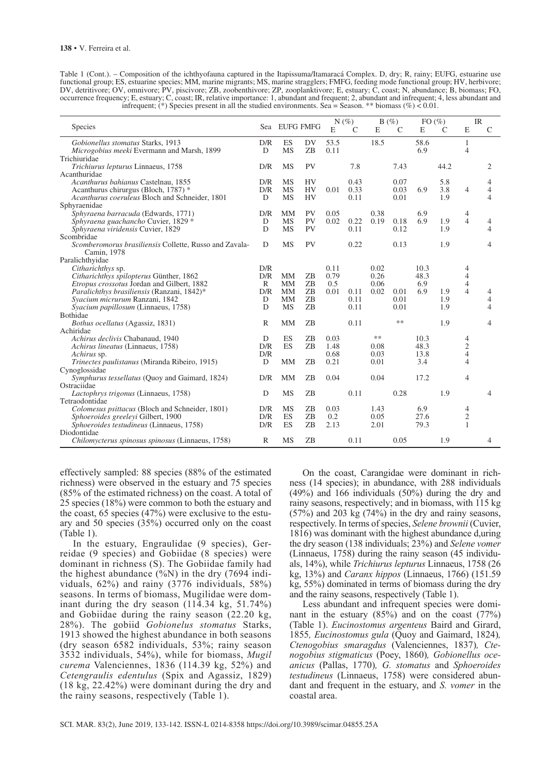| Table 1 (Cont.). – Composition of the ichthyofauna captured in the Itapissuma/Itamaracá Complex. D, dry; R, rainy; EUFG, estuarine use          |
|-------------------------------------------------------------------------------------------------------------------------------------------------|
| functional group; ES, estuarine species; MM, marine migrants; MS, marine stragglers; FMFG, feeding mode functional group; HV, herbivore;        |
| DV, detritivore; OV, omnivore; PV, piscivore; ZB, zoobenthivore; ZP, zooplanktivore; E, estuary; C, coast; N, abundance; B, biomass; FO,        |
| occurrence frequency; E, estuary; C, coast; IR, relative importance: 1, abundant and frequent; 2, abundant and infrequent; 4, less abundant and |
| infrequent; (*) Species present in all the studied environments. Sea = Season. ** biomass (%) < 0.01.                                           |

|                                                                       |              |               |                 |      | $N(\%)$       |      | B(%)          | $FO(\%)$ |               | IR             |                |
|-----------------------------------------------------------------------|--------------|---------------|-----------------|------|---------------|------|---------------|----------|---------------|----------------|----------------|
| Species                                                               |              | Sea EUFG FMFG |                 | E    | $\mathcal{C}$ | E    | $\mathcal{C}$ | E        | $\mathcal{C}$ | E              | $\mathcal{C}$  |
| Gobionellus stomatus Starks, 1913                                     | D/R          | ES            | DV              | 53.5 |               | 18.5 |               | 58.6     |               | 1              |                |
| Microgobius meeki Evermann and Marsh, 1899                            | D            | <b>MS</b>     | ZB              | 0.11 |               |      |               | 6.9      |               | 4              |                |
| Trichiuridae                                                          |              |               |                 |      |               |      |               |          |               |                |                |
| Trichiurus lepturus Linnaeus, 1758                                    | D/R          | <b>MS</b>     | <b>PV</b>       |      | 7.8           |      | 7.43          |          | 44.2          |                | 2              |
| Acanthuridae                                                          |              |               |                 |      |               |      |               |          |               |                |                |
| Acanthurus bahianus Castelnau, 1855                                   | D/R          | <b>MS</b>     | <b>HV</b>       |      | 0.43          |      | 0.07          |          | 5.8           |                | 4              |
| Acanthurus chirurgus (Bloch, 1787) *                                  | D/R          | <b>MS</b>     | <b>HV</b>       | 0.01 | 0.33          |      | 0.03          | 6.9      | 3.8           | 4              | $\overline{4}$ |
| Acanthurus coeruleus Bloch and Schneider, 1801                        | D            | <b>MS</b>     | <b>HV</b>       |      | 0.11          |      | 0.01          |          | 1.9           |                | $\overline{4}$ |
| Sphyraenidae                                                          |              |               |                 |      |               |      |               |          |               |                |                |
| Sphyraena barracuda (Edwards, 1771)                                   | D/R          | MM            | PV              | 0.05 |               | 0.38 |               | 6.9      |               | 4              |                |
| Sphyraena guachancho Cuvier, 1829 *                                   | D            | <b>MS</b>     | PV<br><b>PV</b> | 0.02 | 0.22          | 0.19 | 0.18<br>0.12  | 6.9      | 1.9           | $\overline{4}$ | 4<br>4         |
| Sphyraena viridensis Cuvier, 1829                                     | D            | <b>MS</b>     |                 |      | 0.11          |      |               |          | 1.9           |                |                |
| Scombridae                                                            |              |               | <b>PV</b>       |      |               |      |               |          |               |                |                |
| Scomberomorus brasiliensis Collette, Russo and Zavala-<br>Camin, 1978 | D            | <b>MS</b>     |                 |      | 0.22          |      | 0.13          |          | 1.9           |                | 4              |
| Paralichthyidae                                                       |              |               |                 |      |               |      |               |          |               |                |                |
| Citharichthys sp.                                                     | D/R          |               |                 | 0.11 |               | 0.02 |               | 10.3     |               | 4              |                |
| Citharichthys spilopterus Günther, 1862                               | D/R          | <b>MM</b>     | ZB              | 0.79 |               | 0.26 |               | 48.3     |               | $\overline{4}$ |                |
| <i>Etropus crossotus</i> Jordan and Gilbert, 1882                     | $\mathbb{R}$ | MM            | ZB              | 0.5  |               | 0.06 |               | 6.9      |               | $\overline{4}$ |                |
| Paralichthys brasiliensis (Ranzani, 1842)*                            | D/R          | <b>MM</b>     | ZB              | 0.01 | 0.11          | 0.02 | 0.01          | 6.9      | 1.9           | $\overline{4}$ | 4              |
| Syacium micrurum Ranzani, 1842                                        | D            | <b>MM</b>     | <b>ZB</b>       |      | 0.11          |      | 0.01          |          | 1.9           |                | 4              |
| Syacium papillosum (Linnaeus, 1758)                                   | D            | <b>MS</b>     | ZB              |      | 0.11          |      | 0.01          |          | 1.9           |                | 4              |
| Bothidae                                                              |              |               |                 |      |               |      |               |          |               |                |                |
| Bothus ocellatus (Agassiz, 1831)                                      | $\mathbb{R}$ | <b>MM</b>     | ZB              |      | 0.11          |      | **            |          | 1.9           |                | 4              |
| Achiridae                                                             |              |               |                 |      |               |      |               |          |               |                |                |
| Achirus declivis Chabanaud, 1940                                      | D            | ES            | ZB              | 0.03 |               | **   |               | 10.3     |               | 4              |                |
| Achirus lineatus (Linnaeus, 1758)                                     | D/R          | ES            | ZB              | 1.48 |               | 0.08 |               | 48.3     |               | $\mathbf{2}$   |                |
| Achirus sp.                                                           | D/R          |               |                 | 0.68 |               | 0.03 |               | 13.8     |               | $\overline{4}$ |                |
| Trinectes paulistanus (Miranda Ribeiro, 1915)                         | D            | <b>MM</b>     | ZB              | 0.21 |               | 0.01 |               | 3.4      |               | 4              |                |
| Cynoglossidae                                                         |              |               |                 |      |               |      |               |          |               |                |                |
| Symphurus tessellatus (Quoy and Gaimard, 1824)                        | D/R          | <b>MM</b>     | ZΒ              | 0.04 |               | 0.04 |               | 17.2     |               | 4              |                |
| Ostraciidae                                                           |              |               |                 |      |               |      |               |          |               |                |                |
| Lactophrys trigonus (Linnaeus, 1758)                                  | D            | <b>MS</b>     | ZB              |      | 0.11          |      | 0.28          |          | 1.9           |                | 4              |
| Tetraodontidae                                                        |              |               |                 |      |               |      |               |          |               |                |                |
| Colomesus psittacus (Bloch and Schneider, 1801)                       | D/R          | <b>MS</b>     | ZΒ              | 0.03 |               | 1.43 |               | 6.9      |               | 4              |                |
| Sphoeroides greeleyi Gilbert, 1900                                    | D/R          | ES            | <b>ZB</b>       | 0.2  |               | 0.05 |               | 27.6     |               | $\mathfrak{2}$ |                |
| Sphoeroides testudineus (Linnaeus, 1758)                              | D/R          | ES            | ZB              | 2.13 |               | 2.01 |               | 79.3     |               | 1              |                |
| Diodontidae                                                           |              |               |                 |      |               |      |               |          |               |                |                |
| Chilomycterus spinosus spinosus (Linnaeus, 1758)                      | R            | <b>MS</b>     | ZB              |      | 0.11          |      | 0.05          |          | 1.9           |                | 4              |

effectively sampled: 88 species (88% of the estimated richness) were observed in the estuary and 75 species (85% of the estimated richness) on the coast. A total of 25 species (18%) were common to both the estuary and the coast, 65 species (47%) were exclusive to the estuary and 50 species (35%) occurred only on the coast (Table 1).

In the estuary, Engraulidae (9 species), Gerreidae (9 species) and Gobiidae (8 species) were dominant in richness (S). The Gobiidae family had the highest abundance  $(\%N)$  in the dry (7694 individuals, 62%) and rainy (3776 individuals, 58%) seasons. In terms of biomass, Mugilidae were dominant during the dry season  $(114.34 \text{ kg}, 51.74\%)$ and Gobiidae during the rainy season (22.20 kg, 28%). The gobiid *Gobionelus stomatus* Starks, 1913 showed the highest abundance in both seasons (dry season 6582 individuals, 53%; rainy season 3532 individuals, 54%), while for biomass, *Mugil curema* Valenciennes, 1836 (114.39 kg, 52%) and *Cetengraulis edentulus* (Spix and Agassiz, 1829) (18 kg, 22.42%) were dominant during the dry and the rainy seasons, respectively (Table 1).

On the coast, Carangidae were dominant in richness (14 species); in abundance, with 288 individuals (49%) and 166 individuals (50%) during the dry and rainy seasons, respectively; and in biomass, with 115 kg (57%) and 203 kg (74%) in the dry and rainy seasons, respectively. In terms of species, *Selene brownii* (Cuvier, 1816) was dominant with the highest abundance d,uring the dry season (138 individuals; 23%) and *Selene vomer* (Linnaeus, 1758) during the rainy season (45 individuals, 14%), while *Trichiurus lepturus* Linnaeus, 1758 (26 kg, 13%) and *Caranx hippos* (Linnaeus, 1766) (151.59 kg, 55%) dominated in terms of biomass during the dry and the rainy seasons, respectively (Table 1).

Less abundant and infrequent species were dominant in the estuary  $(85%)$  and on the coast  $(77%)$ (Table 1). *Eucinostomus argenteus* Baird and Girard, 1855*, Eucinostomus gula* (Quoy and Gaimard, 1824)*, Ctenogobius smaragdus* (Valenciennes, 1837)*, Ctenogobius stigmaticus* (Poey, 1860)*, Gobionellus oceanicus* (Pallas, 1770)*, G. stomatus* and *Sphoeroides testudineus* (Linnaeus, 1758) were considered abundant and frequent in the estuary, and *S. vomer* in the coastal area.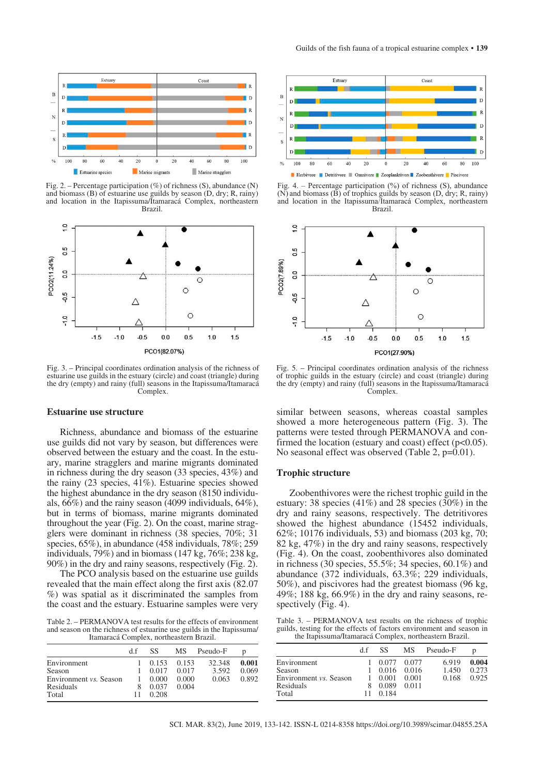

Fig. 2. – Percentage participation  $(\%)$  of richness (S), abundance (N) and biomass (B) of estuarine use guilds by season (D, dry; R, rainy) and location in the Itapissuma/Itamaracá Complex, northeastern Brazil.



Fig. 3. – Principal coordinates ordination analysis of the richness of estuarine use guilds in the estuary (circle) and coast (triangle) during the dry (empty) and rainy (full) seasons in the Itapissuma/Itamaracá Complex.

#### **Estuarine use structure**

Richness, abundance and biomass of the estuarine use guilds did not vary by season, but differences were observed between the estuary and the coast. In the estuary, marine stragglers and marine migrants dominated in richness during the dry season (33 species, 43%) and the rainy (23 species, 41%). Estuarine species showed the highest abundance in the dry season (8150 individuals, 66%) and the rainy season (4099 individuals, 64%), but in terms of biomass, marine migrants dominated throughout the year (Fig. 2). On the coast, marine stragglers were dominant in richness (38 species, 70%; 31 species, 65%), in abundance (458 individuals, 78%; 259 individuals, 79%) and in biomass (147 kg, 76%; 238 kg, 90%) in the dry and rainy seasons, respectively (Fig. 2).

The PCO analysis based on the estuarine use guilds revealed that the main effect along the first axis (82.07 %) was spatial as it discriminated the samples from the coast and the estuary. Estuarine samples were very

Table 2. – PERMANOVA test results for the effects of environment and season on the richness of estuarine use guilds in the Itapissuma/ Itamaracá Complex, northeastern Brazil.

|                               | d.f | SS.   | <b>MS</b> | Pseudo-F | D     |
|-------------------------------|-----|-------|-----------|----------|-------|
| Environment                   |     | 0.153 | 0.153     | 32.348   | 0.001 |
| Season                        |     | 0.017 | 0.017     | 3.592    | 0.069 |
| Environment <i>vs.</i> Season |     | 0.000 | 0.000     | 0.063    | 0.892 |
| Residuals                     |     | 0.037 | 0.004     |          |       |
| Total                         | 11  | 0.208 |           |          |       |



Fig. 4. – Percentage participation  $(\%)$  of richness (S), abundance  $(N)$  and biomass  $(\overline{B})$  of trophics guilds by season  $(D)$ , dry; R, rainy) and location in the Itapissuma/Itamaracá Complex, northeastern Brazil.



Fig. 5. – Principal coordinates ordination analysis of the richness of trophic guilds in the estuary (circle) and coast (triangle) during the dry (empty) and rainy (full) seasons in the Itapissuma/Itamaracá Complex.

similar between seasons, whereas coastal samples showed a more heterogeneous pattern (Fig. 3). The patterns were tested through PERMANOVA and confirmed the location (estuary and coast) effect (p<0.05). No seasonal effect was observed (Table 2, p=0.01).

## **Trophic structure**

Zoobenthivores were the richest trophic guild in the estuary: 38 species (41%) and 28 species (30%) in the dry and rainy seasons, respectively. The detritivores showed the highest abundance (15452 individuals, 62%; 10176 individuals, 53) and biomass (203 kg, 70; 82 kg, 47%) in the dry and rainy seasons, respectively (Fig. 4). On the coast, zoobenthivores also dominated in richness (30 species, 55.5%; 34 species, 60.1%) and abundance (372 individuals, 63.3%; 229 individuals, 50%), and piscivores had the greatest biomass (96 kg, 49%; 188 kg, 66.9%) in the dry and rainy seasons, respectively (Fig. 4).

Table 3. – PERMANOVA test results on the richness of trophic guilds, testing for the effects of factors environment and season in the Itapissuma/Itamaracá Complex, northeastern Brazil.

|                               | d f | SS.   | <b>MS</b>     | Pseudo-F | D     |
|-------------------------------|-----|-------|---------------|----------|-------|
| Environment                   |     | 0.077 | 0.077         | 6.919    | 0.004 |
| Season                        |     |       | $0.016$ 0.016 | 1.450    | 0.273 |
| Environment <i>vs.</i> Season |     | 0.001 | 0.001         | 0.168    | 0.925 |
| Residuals                     | 8   | 0.089 | 0.011         |          |       |
| Total                         | 11  | 0.184 |               |          |       |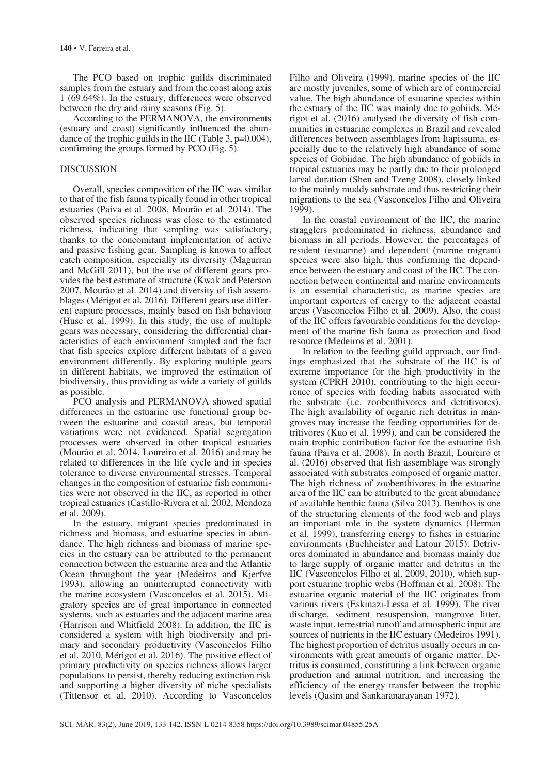The PCO based on trophic guilds discriminated samples from the estuary and from the coast along axis 1 (69.64%). In the estuary, differences were observed between the dry and rainy seasons (Fig. 5).

According to the PERMANOVA, the environments (estuary and coast) significantly influenced the abundance of the trophic guilds in the IIC (Table 3, p=0.004), confirming the groups formed by PCO (Fig. 5).

## **DISCUSSION**

Overall, species composition of the IIC was similar to that of the fish fauna typically found in other tropical estuaries (Paiva et al. 2008, Mourão et al. 2014). The observed species richness was close to the estimated richness, indicating that sampling was satisfactory, thanks to the concomitant implementation of active and passive fishing gear. Sampling is known to affect catch composition, especially its diversity (Magurran and McGill 2011), but the use of different gears provides the best estimate of structure (Kwak and Peterson 2007, Mourão et al. 2014) and diversity of fish assemblages (Mérigot et al. 2016). Different gears use different capture processes, mainly based on fish behaviour (Huse et al. 1999). In this study, the use of multiple gears was necessary, considering the differential characteristics of each environment sampled and the fact that fish species explore different habitats of a given environment differently. By exploring multiple gears in different habitats, we improved the estimation of biodiversity, thus providing as wide a variety of guilds as possible.

PCO analysis and PERMANOVA showed spatial differences in the estuarine use functional group between the estuarine and coastal areas, but temporal variations were not evidenced. Spatial segregation processes were observed in other tropical estuaries (Mourão et al. 2014, Loureiro et al. 2016) and may be related to differences in the life cycle and in species tolerance to diverse environmental stresses. Temporal changes in the composition of estuarine fish communities were not observed in the IIC, as reported in other tropical estuaries (Castillo-Rivera et al. 2002, Mendoza et al. 2009).

In the estuary, migrant species predominated in richness and biomass, and estuarine species in abundance. The high richness and biomass of marine species in the estuary can be attributed to the permanent connection between the estuarine area and the Atlantic Ocean throughout the year (Medeiros and Kjerfve 1993), allowing an uninterrupted connectivity with the marine ecosystem (Vasconcelos et al. 2015). Migratory species are of great importance in connected systems, such as estuaries and the adjacent marine area (Harrison and Whitfield 2008). In addition, the IIC is considered a system with high biodiversity and primary and secondary productivity (Vasconcelos Filho et al. 2010, Mérigot et al. 2016). The positive effect of primary productivity on species richness allows larger populations to persist, thereby reducing extinction risk and supporting a higher diversity of niche specialists (Tittensor et al. 2010). According to Vasconcelos Filho and Oliveira (1999), marine species of the IIC are mostly juveniles, some of which are of commercial value. The high abundance of estuarine species within the estuary of the IIC was mainly due to gobiids. Mérigot et al. (2016) analysed the diversity of fish communities in estuarine complexes in Brazil and revealed differences between assemblages from Itapissuma, especially due to the relatively high abundance of some species of Gobiidae. The high abundance of gobiids in tropical estuaries may be partly due to their prolonged larval duration (Shen and Tzeng 2008), closely linked to the mainly muddy substrate and thus restricting their migrations to the sea (Vasconcelos Filho and Oliveira 1999).

In the coastal environment of the IIC, the marine stragglers predominated in richness, abundance and biomass in all periods. However, the percentages of resident (estuarine) and dependent (marine migrant) species were also high, thus confirming the dependence between the estuary and coast of the IIC. The connection between continental and marine environments is an essential characteristic, as marine species are important exporters of energy to the adjacent coastal areas (Vasconcelos Filho et al. 2009). Also, the coast of the IIC offers favourable conditions for the development of the marine fish fauna as protection and food resource (Medeiros et al. 2001).

In relation to the feeding guild approach, our findings emphasized that the substrate of the IIC is of extreme importance for the high productivity in the system (CPRH 2010), contributing to the high occurrence of species with feeding habits associated with the substrate (i.e. zoobenthivores and detritivores). The high availability of organic rich detritus in mangroves may increase the feeding opportunities for detritivores (Kuo et al*.* 1999), and can be considered the main trophic contribution factor for the estuarine fish fauna (Paiva et al. 2008). In north Brazil, Loureiro et al. (2016) observed that fish assemblage was strongly associated with substrates composed of organic matter. The high richness of zoobenthivores in the estuarine area of the IIC can be attributed to the great abundance of available benthic fauna (Silva 2013). Benthos is one of the structuring elements of the food web and plays an important role in the system dynamics (Herman et al. 1999), transferring energy to fishes in estuarine environments (Buchheister and Latour 2015). Detrivores dominated in abundance and biomass mainly due to large supply of organic matter and detritus in the IIC (Vasconcelos Filho et al. 2009, 2010), which support estuarine trophic webs (Hoffman et al. 2008). The estuarine organic material of the IIC originates from various rivers (Eskinazi-Lessa et al. 1999). The river discharge, sediment resuspension, mangrove litter, waste input, terrestrial runoff and atmospheric input are sources of nutrients in the IIC estuary (Medeiros 1991). The highest proportion of detritus usually occurs in environments with great amounts of organic matter. Detritus is consumed, constituting a link between organic production and animal nutrition, and increasing the efficiency of the energy transfer between the trophic levels (Qasim and Sankaranarayanan 1972).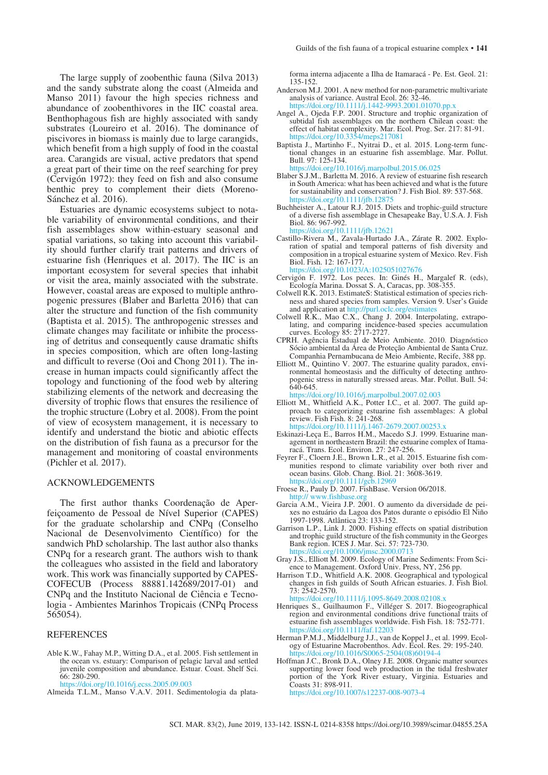The large supply of zoobenthic fauna (Silva 2013) and the sandy substrate along the coast (Almeida and Manso 2011) favour the high species richness and abundance of zoobenthivores in the IIC coastal area. Benthophagous fish are highly associated with sandy substrates (Loureiro et al. 2016). The dominance of piscivores in biomass is mainly due to large carangids, which benefit from a high supply of food in the coastal area. Carangids are visual, active predators that spend a great part of their time on the reef searching for prey (Cervigón 1972): they feed on fish and also consume benthic prey to complement their diets (Moreno-Sánchez et al. 2016).

Estuaries are dynamic ecosystems subject to notable variability of environmental conditions, and their fish assemblages show within-estuary seasonal and spatial variations, so taking into account this variability should further clarify trait patterns and drivers of estuarine fish (Henriques et al. 2017). The IIC is an important ecosystem for several species that inhabit or visit the area, mainly associated with the substrate. However, coastal areas are exposed to multiple anthropogenic pressures (Blaber and Barletta 2016) that can alter the structure and function of the fish community (Baptista et al. 2015). The anthropogenic stresses and climate changes may facilitate or inhibite the processing of detritus and consequently cause dramatic shifts in species composition, which are often long-lasting and difficult to reverse (Ooi and Chong 2011). The increase in human impacts could significantly affect the topology and functioning of the food web by altering stabilizing elements of the network and decreasing the diversity of trophic flows that ensures the resilience of the trophic structure (Lobry et al. 2008). From the point of view of ecosystem management, it is necessary to identify and understand the biotic and abiotic effects on the distribution of fish fauna as a precursor for the management and monitoring of coastal environments (Pichler et al*.* 2017).

#### ACKNOWLEDGEMENTS

The first author thanks Coordenação de Aperfeiçoamento de Pessoal de Nível Superior (CAPES) for the graduate scholarship and CNPq (Conselho Nacional de Desenvolvimento Científico) for the sandwich PhD scholarship. The last author also thanks CNPq for a research grant. The authors wish to thank the colleagues who assisted in the field and laboratory work. This work was financially supported by CAPES-COFECUB (Process 88881.142689/2017-01) and CNPq and the Instituto Nacional de Ciência e Tecnologia - Ambientes Marinhos Tropicais (CNPq Process 565054).

#### REFERENCES

Able K.W., Fahay M.P., Witting D.A., et al. 2005. Fish settlement in the ocean vs. estuary: Comparison of pelagic larval and settled juvenile composition and abundance. Estuar. Coast. Shelf Sci. 66: 280-290.

<https://doi.org/10.1016/j.ecss.2005.09.003>

Almeida T.L.M., Manso V.A.V. 2011. Sedimentologia da plata-

forma interna adjacente a Ilha de Itamaracá - Pe. Est. Geol. 21: 135-152.

- Anderson M.J. 2001. A new method for non-parametric multivariate analysis of variance. Austral Ecol. 26: 32-46. https://doi.org/10.1111/j.1442-9993.2001.01070.pp.
- Angel A., Ojeda F.P. 2001. Structure and trophic organization of subtidal fish assemblages on the northern Chilean coast: the effect of habitat complexity. Mar. Ecol. Prog. Ser. 217: 81-91.<br>https://doi.org/10.3354/meps217081 https://doi.org/10.33
- Baptista J., Martinho F., Nyitrai D., et al. 2015. Long-term functional changes in an estuarine fish assemblage. Mar. Pollut. Bull. 97: 125-134. <https://doi.org/10.1016/j.marpolbul.2015.06.025>
- Blaber S.J.M., Barletta M. 2016. A review of estuarine fish research in South America: what has been achieved and what is the future for sustainability and conservation? J. Fish Biol. 89: 537-568. https://doi.org/10.1111/jfb.12
- Buchheister A., Latour R.J. 2015. Diets and trophic-guild structure of a diverse fish assemblage in Chesapeake Bay, U.S.A. J. Fish Biol. 86: 967-992. <https://doi.org/10.1111/jfb.12621>
- Castillo-Rivera M., Zavala-Hurtado J.A., Zárate R. 2002. Exploration of spatial and temporal patterns of fish diversity and composition in a tropical estuarine system of Mexico. Rev. Fish Biol. Fish. 12: 167-177. <https://doi.org/10.1023/A:1025051027676>
- Cervigón F. 1972. Los peces. In: Ginés H., Margalef R. (eds), Ecología Marina. Dossat S. A, Caracas, pp. 308-355.
- Colwell R.K. 2013. EstimateS: Statistical estimation of species rich- ness and shared species from samples. Version 9. User's Guide and application at http://purl.oclc.org/estimate
- Colwell R.K., Mao C.X., Chang J. 2004. Interpolating, extrapolating, and comparing incidence-based species accumulation curves. Ecology 85: 2717-2727.
- CPRH. Agência Estadual de Meio Ambiente. 2010. Diagnóstico Sócio ambiental da Área de Proteção Ambiental de Santa Cruz. Companhia Pernambucana de Meio Ambiente, Recife, 388 pp.
- Elliott M., Quintino V. 2007. The estuarine quality paradox, environmental homeostasis and the difficulty of detecting anthropogenic stress in naturally stressed areas. Mar. Pollut. Bull. 54: 640-645.

<https://doi.org/10.1016/j.marpolbul.2007.02.003>

- Elliott M., Whitfield A.K., Potter I.C., et al. 2007. The guild approach to categorizing estuarine fish assemblages: A global review. Fish Fish. 8:  $241-268$ . <https://doi.org/10.1111/j.1467-2679.2007.00253.x>
- Eskinazi-Leça E., Barros H.M., Macedo S.J. 1999. Estuarine management in northeastern Brazil: the estuarine complex of Itamaracá. Trans. Ecol. Environ. 27: 247-256.
- Feyrer F., Cloern J.E., Brown L.R., et al. 2015. Estuarine fish communities respond to climate variability over both river and ocean basins. Glob. Chang. Biol. 21: 3608-3619. https://doi.org/10.1111
- Froese R., Pauly D. 2007. FishBase. Version 06/2018. http:// www.fishbase.
- Garcia A.M., Vieira J.P. 2001. O aumento da diversidade de peixes no estuário da Lagoa dos Patos durante o episódio El Niño 1997-1998. Atlântica 23: 133-152.
- Garrison L.P., Link J. 2000. Fishing effects on spatial distribution and trophic guild structure of the fish community in the Georges Bank region. ICES J. Mar. Sci. 57: 723-730. <https://doi.org/10.1006/jmsc.2000.0713>
- Gray J.S., Elliott M. 2009. Ecology of Marine Sediments: From Science to Management. Oxford Univ. Press, NY, 256 pp.
- Harrison T.D., Whitfield A.K. 2008. Geographical and typological changes in fish guilds of South African estuaries. J. Fish Biol. 73: 2542-2570.

https://doi.org/10.1111/j.1095-8649.2008.02108.

- Henriques S., Guilhaumon F., Villéger S. 2017. Biogeographical region and environmental conditions drive functional traits of estuarine fish assemblages worldwide. Fish Fish. 18: 752-771. <https://doi.org/10.1111/faf.12203>
- Herman P.M.J., Middelburg J.J., van de Koppel J., et al. 1999. Ecology of Estuarine Macrobenthos. Adv. Ecol. Res. 29: 195-240.<br>https://doi.org/10.1016/S0065-2504(08)60194-4. https://doi.org/10.1016/S0065
- Hoffman J.C., Bronk D.A., Olney J.E. 2008. Organic matter sources supporting lower food web production in the tidal freshwater portion of the York River estuary, Virginia. Estuaries and Coasts 31: 898-911. <https://doi.org/10.1007/s12237-008-9073-4>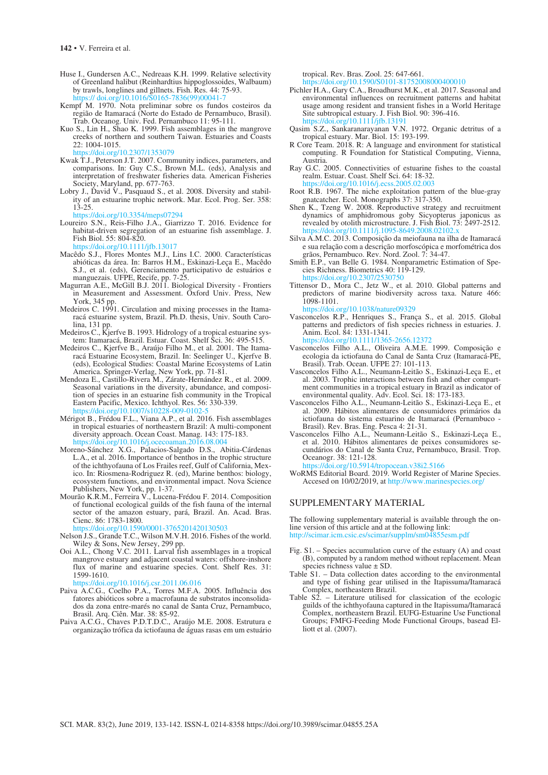- Huse I., Gundersen A.C., Nedreaas K.H. 1999. Relative selectivity of Greenland halibut (Reinhardtius hippoglossoides, Walbaum) by trawls, longlines and gillnets. Fish. Res. 44: 75-93. https:// doi.org/10.1016/S0165-7836(99)00041-7
- Kempf M. 1970. Nota preliminar sobre os fundos costeiros da região de Itamaracá (Norte do Estado de Pernambuco, Brasil). Trab. Oceanog. Univ. Fed. Pernambuco 11: 95-111.
- Kuo S., Lin H., Shao K. 1999. Fish assemblages in the mangrove creeks of northern and southern Taiwan. Estuaries and Coasts 22: 1004-1015. <https://doi.org/10.2307/1353079>
- Kwak T.J., Peterson J.T. 2007. Community indices, parameters, and comparisons. In: Guy C.S., Brown M.L. (eds), Analysis and interpretation of freshwater fisheries data. American Fisheries Society, Maryland, pp. 677-763.
- Lobry J., David V., Pasquaud S., et al. 2008. Diversity and stability of an estuarine trophic network. Mar. Ecol. Prog. Ser. 358: 13-25.
- <https://doi.org/10.3354/meps07294>
- Loureiro S.N., Reis-Filho J.A., Giarrizzo T. 2016. Evidence for habitat-driven segregation of an estuarine fish assemblage. J. Fish Biol. 55: 804-820.

https://doi.1111/jfb.13017

- Macêdo S.J., Flores Montes M.J., Lins I.C. 2000. Características abióticas da área. In: Barros H.M., Eskinazi-Leça E., Macêdo S.J., et al. (eds), Gerenciamento participativo de estuários e manguezais. UFPE, Recife, pp. 7-25.
- Magurran A.E., McGill B.J. 2011. Biological Diversity Frontiers in Measurement and Assessment. Oxford Univ. Press, New York, 345 pp.
- Medeiros C. 1991. Circulation and mixing processes in the Itamaracá estuarine system, Brazil. Ph.D. thesis, Univ. South Carolina, 131 pp.
- Medeiros C., Kjerfve B. 1993. Hidrology of a tropical estuarine system: Itamaracá, Brazil. Estuar. Coast. Shelf Sci. 36: 495-515.
- Medeiros C., Kjerfve B., Araújo Filho M., et al. 2001. The Itamaracá Estuarine Ecosystem, Brazil. In: Seelinger U., Kjerfve B. (eds), Ecological Studies: Coastal Marine Ecosystems of Latin America. Springer-Verlag, New York, pp. 71-81.
- Mendoza E., Castillo-Rivera M., Zárate-Hernández R., et al. 2009. Seasonal variations in the diversity, abundance, and composition of species in an estuarine fish community in the Tropical Eastern Pacific, Mexico. Ichthyol. Res. 56: 330-339.<br>https://doi.org/10.1007/s10228-009-0102-5 https://doi.org/10.1007
- Mérigot B., Frédou F.L., Viana A.P., et al. 2016. Fish assemblages in tropical estuaries of northeastern Brazil: A multi-component diversity approach. Ocean Coast. Manag. 143: 175-183. <https://doi.org/10.1016/j.ocecoaman.2016.08.004>
- Moreno-Sánchez X.G., Palacios-Salgado D.S., Abitia-Cárdenas L.A., et al. 2016. Importance of benthos in the trophic structure of the ichthyofauna of Los Frailes reef, Gulf of California, Mexico. In: Riosmena-Rodriguez R. (ed), Marine benthos: biology, ecosystem functions, and environmental impact. Nova Science Publishers, New York, pp. 1-37.
- Mourão K.R.M., Ferreira V., Lucena-Frédou F. 2014. Composition of functional ecological guilds of the fish fauna of the internal sector of the amazon estuary, pará, Brazil. An. Acad. Bras. Cienc. 86: 1783-1800.<br>https://doi.org/10.1590/0001-3765201420130503 <https://doi.org/10.1590/0001-3765201420130503>
- Nelson J.S., Grande T.C., Wilson M.V.H. 2016. Fishes of the world. Wiley & Sons, New Jersey, 299 pp.
- Ooi A.L., Chong V.C. 2011. Larval fish assemblages in a tropical mangrove estuary and adjacent coastal waters: offshore-inshore flux of marine and estuarine species. Cont. Shelf Res. 31: 1599-1610. <https://doi.org/10.1016/j.csr.2011.06.016>
- Paiva A.C.G., Coelho P.A., Torres M.F.A. 2005. Influência dos fatores abióticos sobre a macrofauna de substratos inconsolidados da zona entre-marés no canal de Santa Cruz, Pernambuco, Brasil. Arq. Ciên. Mar. 38: 85-92.
- Paiva A.C.G., Chaves P.D.T.D.C., Araújo M.E. 2008. Estrutura e organização trófica da ictiofauna de águas rasas em um estuário

tropical. Rev. Bras. Zool. 25: 647-661.<br>https://doi.org/10.1590/S0101-81752008000400010 doi.org/10.1590/S0101-8175

- Pichler H.A., Gary C.A., Broadhurst M.K., et al. 2017. Seasonal and environmental influences on recruitment patterns and habitat usage among resident and transient fishes in a World Heritage Site subtropical estuary. J. Fish Biol. 90: 396-416. <https://doi.org/10.1111/jfb.13191>
- Qasim S.Z., Sankaranarayanan V.N. 1972. Organic detritus of a tropical estuary. Mar. Biol. 15: 193-199.
- R Core Team. 2018. R: A language and environment for statistical computing. R Foundation for Statistical Computing, Vienna, Austria.
- Ray G.C. 2005. Connectivities of estuarine fishes to the coastal realm. Estuar. Coast. Shelf Sci. 64: 18-32.<br>https://doi.org/10.1016/j.ecss.2005.02.003 <https://doi.org/10.1016/j.ecss.2005.02.003>
- Root R.B. 1967. The niche exploitation pattern of the blue-gray gnatcatcher. Ecol. Monographs 37: 317-350.
- Shen K., Tzeng W. 2008. Reproductive strategy and recruitment dynamics of amphidromous goby Sicyopterus japonicus as revealed by otolith microstructure. J. Fish Biol. 73: 2497-2512. <https://doi.org/10.1111/j.1095-8649.2008.02102.x>
- Silva A.M.C. 2013. Composição da meiofauna na ilha de Itamaracá e sua relação com a descrição morfoscópica e morfométrica dos grãos, Pernambuco. Rev. Nord. Zool. 7: 34-47.
- Smith E.P., van Belle G. 1984. Nonparametric Estimation of Species Richness. Biometrics 40: 119-129. <https://doi.org/10.2307/2530750>
- Tittensor D., Mora C., Jetz W., et al. 2010. Global patterns and predictors of marine biodiversity across taxa. Nature 466: 1098-1101.

<https://doi.org/10.1038/nature09329>

Vasconcelos R.P., Henriques S., França S., et al. 2015. Global patterns and predictors of fish species richness in estuaries. J. Anim. Ecol. 84: 1331-1341.

<https://doi.org/10.1111/1365-2656.12372>

- Vasconcelos Filho A.L., Oliveira A.M.E. 1999. Composição e ecologia da ictiofauna do Canal de Santa Cruz (Itamaracá-PE, Brasil). Trab. Ocean. UFPE 27: 101-113.
- Vasconcelos Filho A.L., Neumann-Leitão S., Eskinazi-Leça E., et al. 2003. Trophic interactions between fish and other compartment communities in a tropical estuary in Brazil as indicator of environmental quality. Adv. Ecol. Sci. 18: 173-183.
- Vasconcelos Filho A.L., Neumann-Leitão S., Eskinazi-Leça E., et al. 2009. Hábitos alimentares de consumidores primários da ictiofauna do sistema estuarino de Itamaracá (Pernambuco - Brasil). Rev. Bras. Eng. Pesca 4: 21-31.
- Vasconcelos Filho A.L., Neumann-Leitão S., Eskinazi-Leça E., et al. 2010. Hábitos alimentares de peixes consumidores secundários do Canal de Santa Cruz, Pernambuco, Brasil. Trop. Oceanogr. 38: 121-128.<br>https://doi.org/10.5914/trop

 $\overline{\text{doi.org}}/10.5914/\text{tropocean}.v38i2.5166$ 

WoRMS Editorial Board. 2019. World Register of Marine Species. Accesed on 10/02/2019, at <http://www.marinespecies.org/>

## SUPPLEMENTARY MATERIAL

The following supplementary material is available through the on- line version of this article and at the following link: <http://scimar.icm.csic.es/scimar/supplm/sm04855esm.pdf>

- Fig. S1. Species accumulation curve of the estuary (A) and coast (B), computed by a random method without replacement. Mean species richness value ± SD.
- Table S1. Data collection dates according to the environmental and type of fishing gear utilised in the Itapissuma/Itamaracá Complex, northeastern Brazil.
- Table S2. Literature utilised for classication of the ecologic guilds of the ichthyofauna captured in the Itapissuma/Itamaracá Complex, northeastern Brazil. EUFG-Estuarine Use Functional Groups; FMFG-Feeding Mode Functional Groups, basead El- liott et al. (2007).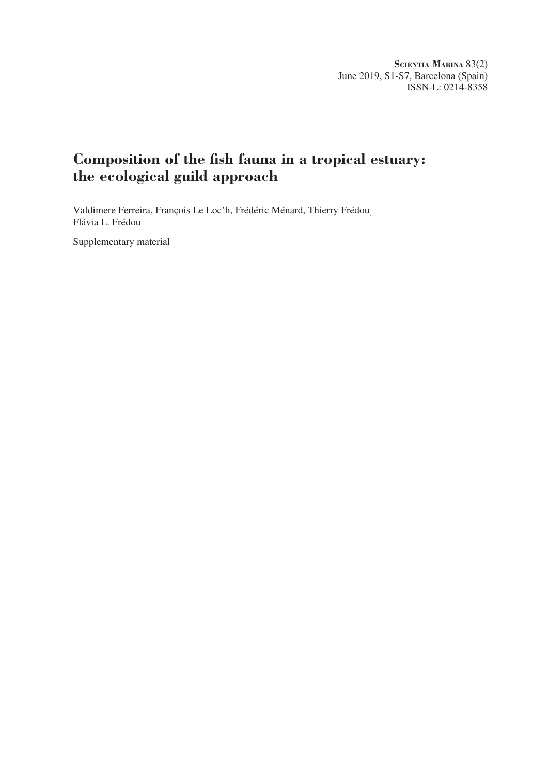# **Composition of the fish fauna in a tropical estuary: the ecological guild approach**

Valdimere Ferreira, François Le Loc'h, Frédéric Ménard, Thierry Frédou, Flávia L. Frédou

Supplementary material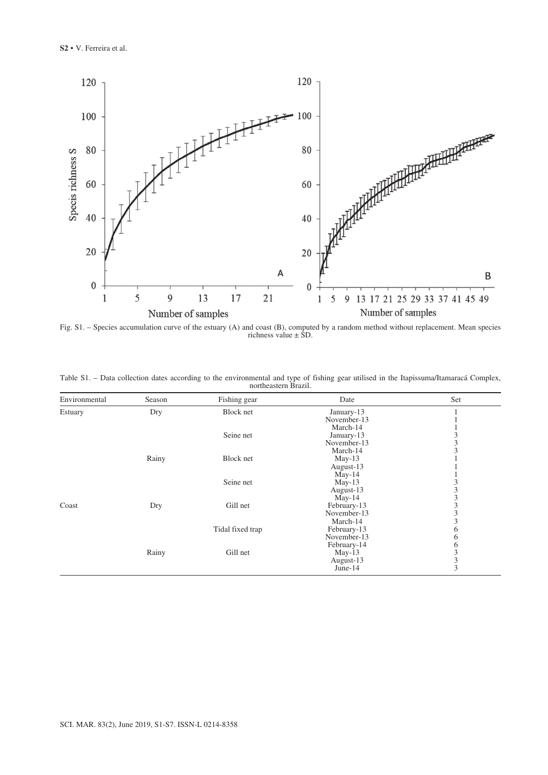

Fig. S1. – Species accumulation curve of the estuary (A) and coast (B), computed by a random method without replacement. Mean species richness value ± SD.

|  |  |                      |  |  | Table S1. – Data collection dates according to the environmental and type of fishing gear utilised in the Itapissuma/Itamaracá Complex, |  |
|--|--|----------------------|--|--|-----------------------------------------------------------------------------------------------------------------------------------------|--|
|  |  | northeastern Brazil. |  |  |                                                                                                                                         |  |

| Environmental | Season | Fishing gear     | Date        | Set |
|---------------|--------|------------------|-------------|-----|
| Estuary       | Dry    | Block net        | January-13  |     |
|               |        |                  | November-13 |     |
|               |        |                  | March-14    |     |
|               |        | Seine net        | January-13  | 3   |
|               |        |                  | November-13 | 3   |
|               |        |                  | March-14    | 3   |
|               | Rainy  | Block net        | $May-13$    |     |
|               |        |                  | August-13   |     |
|               |        |                  | $May-14$    |     |
|               |        | Seine net        | $May-13$    |     |
|               |        |                  | August-13   | 3   |
|               |        |                  | $May-14$    | 3   |
| Coast         | Dry    | Gill net         | February-13 | 3   |
|               |        |                  | November-13 | 3   |
|               |        |                  | March-14    | 3   |
|               |        | Tidal fixed trap | February-13 | 6   |
|               |        |                  | November-13 | 6   |
|               |        |                  | February-14 | 6   |
|               | Rainy  | Gill net         | $May-13$    | 3   |
|               |        |                  | August-13   | 3   |
|               |        |                  | June- $14$  | 3   |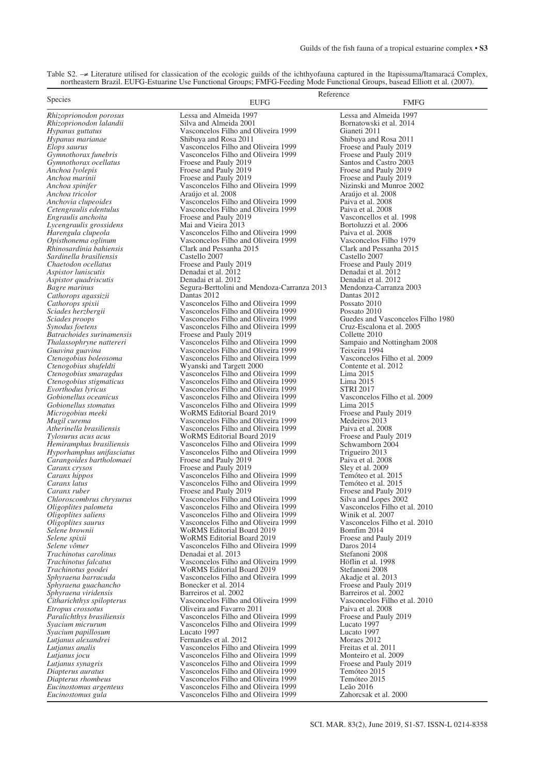| Table S2. $\rightarrow \neq$ Literature utilised for classication of the ecologic guilds of the ichthyofauna captured in the Itapissuma/Itamaracá Complex, |  |
|------------------------------------------------------------------------------------------------------------------------------------------------------------|--|
| northeastern Brazil. EUFG-Estuarine Use Functional Groups; FMFG-Feeding Mode Functional Groups, basead Elliott et al. (2007).                              |  |

|                                             | Reference                                                                |                                                       |  |  |  |
|---------------------------------------------|--------------------------------------------------------------------------|-------------------------------------------------------|--|--|--|
| <b>Species</b>                              | <b>EUFG</b>                                                              | <b>FMFG</b>                                           |  |  |  |
|                                             |                                                                          |                                                       |  |  |  |
| Rhizoprionodon porosus                      | Lessa and Almeida 1997                                                   | Lessa and Almeida 1997                                |  |  |  |
| Rhizoprionodon lalandii                     | Silva and Almeida 2001                                                   | Bornatowski et al. 2014                               |  |  |  |
| Hypanus guttatus                            | Vasconcelos Filho and Oliveira 1999                                      | Gianeti 2011                                          |  |  |  |
| Hypanus marianae                            | Shibuya and Rosa 2011                                                    | Shibuya and Rosa 2011                                 |  |  |  |
| Elops saurus                                | Vasconcelos Filho and Oliveira 1999                                      | Froese and Pauly 2019                                 |  |  |  |
| Gymnothorax funebris                        | Vasconcelos Filho and Oliveira 1999                                      | Froese and Pauly 2019                                 |  |  |  |
| Gymnothorax ocellatus                       | Froese and Pauly 2019                                                    | Santos and Castro 2003                                |  |  |  |
| Anchoa lyolepis                             | Froese and Pauly 2019                                                    | Froese and Pauly 2019                                 |  |  |  |
| Anchoa marinii                              | Froese and Pauly 2019                                                    | Froese and Pauly 2019                                 |  |  |  |
| Anchoa spinifer                             | Vasconcelos Filho and Oliveira 1999                                      | Nizinski and Munroe 2002                              |  |  |  |
| Anchoa tricolor                             | Araúio et al. 2008                                                       | Araújo et al. 2008                                    |  |  |  |
| Anchovia clupeoides                         | Vasconcelos Filho and Oliveira 1999                                      | Paiva et al. 2008                                     |  |  |  |
| Cetengraulis edentulus                      | Vasconcelos Filho and Oliveira 1999                                      | Paiva et al. 2008                                     |  |  |  |
| Engraulis anchoita                          | Froese and Pauly 2019                                                    | Vasconcellos et al. 1998                              |  |  |  |
| Lycengraulis grossidens                     | Mai and Vieira 2013                                                      | Bortoluzzi et al. 2006                                |  |  |  |
| Harengula clupeola                          | Vasconcelos Filho and Oliveira 1999                                      | Paiva et al. 2008                                     |  |  |  |
| Opisthonema oglinum                         | Vasconcelos Filho and Oliveira 1999                                      | Vasconcelos Filho 1979                                |  |  |  |
| Rhinosardinia bahiensis                     | Clark and Pessanha 2015                                                  | Clark and Pessanha 2015                               |  |  |  |
| Sardinella brasiliensis                     | Castello 2007                                                            | Castello 2007                                         |  |  |  |
| Chaetodon ocellatus                         | Froese and Pauly 2019                                                    | Froese and Pauly 2019                                 |  |  |  |
|                                             | Denadai et al. 2012                                                      | Denadai et al. 2012                                   |  |  |  |
| Aspistor luniscutis                         |                                                                          |                                                       |  |  |  |
| Aspistor quadriscutis                       | Denadai et al. 2012                                                      | Denadai et al. 2012                                   |  |  |  |
| Bagre marinus                               | Segura-Berttolini and Mendoza-Carranza 2013                              | Mendonza-Carranza 2003                                |  |  |  |
| Cathorops agassizii                         | Dantas 2012                                                              | Dantas 2012                                           |  |  |  |
| Cathorops spixii                            | Vasconcelos Filho and Oliveira 1999                                      | Possato 2010                                          |  |  |  |
| Sciades herzbergii                          | Vasconcelos Filho and Oliveira 1999                                      | Possato 2010                                          |  |  |  |
| Sciades proops                              | Vasconcelos Filho and Oliveira 1999                                      | Guedes and Vasconcelos Filho 1980                     |  |  |  |
| Synodus foetens                             | Vasconcelos Filho and Oliveira 1999                                      | Cruz-Escalona et al. 2005                             |  |  |  |
| Batrachoides surinamensis                   | Froese and Pauly 2019                                                    | Collette 2010                                         |  |  |  |
| Thalassophryne nattereri                    | Vasconcelos Filho and Oliveira 1999                                      | Sampaio and Nottingham 2008                           |  |  |  |
| Guavina guavina                             | Vasconcelos Filho and Oliveira 1999                                      | Teixeira 1994                                         |  |  |  |
| Ctenogobius boleosoma                       | Vasconcelos Filho and Oliveira 1999                                      | Vasconcelos Filho et al. 2009                         |  |  |  |
| Ctenogobius shufeldti                       | Wyanski and Targett 2000                                                 | Contente et al. 2012                                  |  |  |  |
| Ctenogobius smaragdus                       | Vasconcelos Filho and Oliveira 1999                                      | Lima 2015                                             |  |  |  |
| Ctenogobius stigmaticus                     | Vasconcelos Filho and Oliveira 1999                                      | Lima 2015                                             |  |  |  |
| Evorthodus lyricus                          | Vasconcelos Filho and Oliveira 1999                                      | <b>STRI 2017</b>                                      |  |  |  |
| Gobionellus oceanicus                       | Vasconcelos Filho and Oliveira 1999                                      | Vasconcelos Filho et al. 2009                         |  |  |  |
| Gobionellus stomatus                        | Vasconcelos Filho and Oliveira 1999                                      | Lima 2015                                             |  |  |  |
| Microgobius meeki                           | WoRMS Editorial Board 2019                                               | Froese and Pauly 2019                                 |  |  |  |
| Mugil curema                                | Vasconcelos Filho and Oliveira 1999                                      | Medeiros 2013                                         |  |  |  |
| Atherinella brasiliensis                    | Vasconcelos Filho and Oliveira 1999                                      | Paiva et al. 2008                                     |  |  |  |
| Tylosurus acus acus                         | WoRMS Editorial Board 2019                                               | Froese and Pauly 2019                                 |  |  |  |
| Hemiramphus brasiliensis                    | Vasconcelos Filho and Oliveira 1999                                      | Schwamborn 2004                                       |  |  |  |
| Hyporhamphus unifasciatus                   | Vasconcelos Filho and Oliveira 1999                                      | Trigueiro 2013                                        |  |  |  |
| Carangoides bartholomaei                    | Froese and Pauly 2019                                                    | Paiva et al. 2008                                     |  |  |  |
| Caranx crysos                               | Froese and Pauly 2019                                                    | Sley et al. 2009                                      |  |  |  |
| Caranx hippos                               | Vasconcelos Filho and Oliveira 1999                                      | Temóteo et al. 2015                                   |  |  |  |
| Caranx latus                                | Vasconcelos Filho and Oliveira 1999                                      | Temóteo et al. 2015                                   |  |  |  |
| Caranx ruber                                | Froese and Pauly 2019                                                    | Froese and Pauly 2019                                 |  |  |  |
| Chloroscombrus chrysurus                    | Vasconcelos Filho and Oliveira 1999                                      |                                                       |  |  |  |
|                                             | Vasconcelos Filho and Oliveira 1999                                      | Silva and Lopes 2002<br>Vasconcelos Filho et al. 2010 |  |  |  |
| Oligoplites palometa<br>Oligoplites saliens | Vasconcelos Filho and Oliveira 1999                                      | Winik et al. 2007                                     |  |  |  |
|                                             |                                                                          |                                                       |  |  |  |
| Oligoplites saurus<br>Selene brownii        | Vasconcelos Filho and Oliveira 1999<br><b>WoRMS Editorial Board 2019</b> | Vasconcelos Filho et al. 2010<br>Bomfim 2014          |  |  |  |
|                                             |                                                                          |                                                       |  |  |  |
| Selene spixii                               | WoRMS Editorial Board 2019<br>Vasconcelos Filho and Oliveira 1999        | Froese and Pauly 2019                                 |  |  |  |
| Selene vômer                                |                                                                          | Daros 2014                                            |  |  |  |
| Trachinotus carolinus                       | Denadai et al. 2013                                                      | Stefanoni 2008                                        |  |  |  |
| Trachinotus falcatus                        | Vasconcelos Filho and Oliveira 1999                                      | Höflin et al. 1998                                    |  |  |  |
| Trachinotus goodei                          | <b>WoRMS Editorial Board 2019</b>                                        | Stefanoni 2008                                        |  |  |  |
| Sphyraena barracuda                         | Vasconcelos Filho and Oliveira 1999                                      | Akadje et al. 2013                                    |  |  |  |
| Sphyraena guachancho                        | Bonecker et al. 2014                                                     | Froese and Pauly 2019                                 |  |  |  |
| Sphyraena viridensis                        | Barreiros et al. 2002                                                    | Barreiros et al. 2002                                 |  |  |  |
| Citharichthys spilopterus                   | Vasconcelos Filho and Oliveira 1999                                      | Vasconcelos Filho et al. 2010                         |  |  |  |
| Etropus crossotus                           | Oliveira and Favarro 2011                                                | Paiva et al. 2008                                     |  |  |  |
| Paralichthys brasiliensis                   | Vasconcelos Filho and Oliveira 1999                                      | Froese and Pauly 2019                                 |  |  |  |
| Syacium micrurum                            | Vasconcelos Filho and Oliveira 1999                                      | Lucato 1997                                           |  |  |  |
| Syacium papillosum                          | Lucato 1997                                                              | Lucato 1997                                           |  |  |  |
| Lutjanus alexandrei                         | Fernandes et al. 2012                                                    | Moraes 2012                                           |  |  |  |
| Lutjanus analis                             | Vasconcelos Filho and Oliveira 1999                                      | Freitas et al. 2011                                   |  |  |  |
| Lutjanus jocu                               | Vasconcelos Filho and Oliveira 1999                                      | Monteiro et al. 2009                                  |  |  |  |
| Lutjanus synagris                           | Vasconcelos Filho and Oliveira 1999                                      | Froese and Pauly 2019                                 |  |  |  |
| Diapterus auratus                           | Vasconcelos Filho and Oliveira 1999                                      | Temóteo 2015                                          |  |  |  |
| Diapterus rhombeus                          | Vasconcelos Filho and Oliveira 1999                                      | Temóteo 2015                                          |  |  |  |
| Eucinostomus argenteus                      | Vasconcelos Filho and Oliveira 1999                                      | Leão 2016                                             |  |  |  |
| Eucinostomus gula                           | Vasconcelos Filho and Oliveira 1999                                      | Zahorcsak et al. 2000                                 |  |  |  |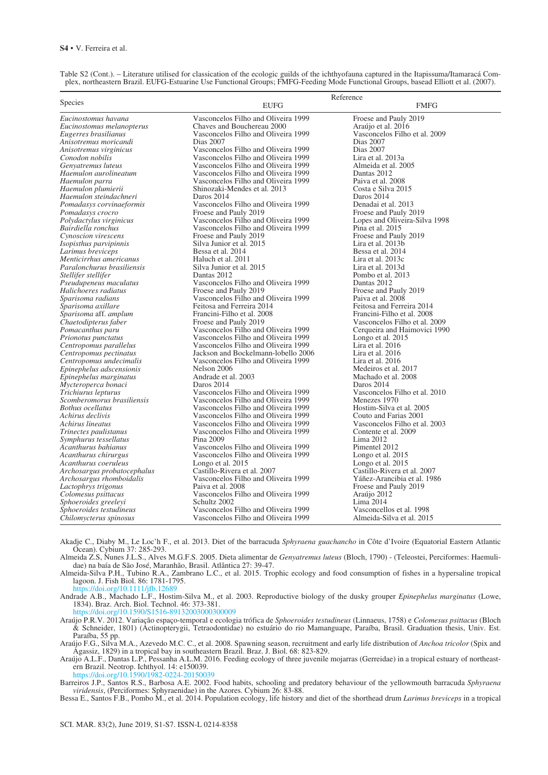|                                                           |                                                              | Reference                                  |
|-----------------------------------------------------------|--------------------------------------------------------------|--------------------------------------------|
| <b>Species</b>                                            | <b>EUFG</b>                                                  | <b>FMFG</b>                                |
| Eucinostomus havana                                       | Vasconcelos Filho and Oliveira 1999                          | Froese and Pauly 2019                      |
| Eucinostomus melanopterus                                 | Chaves and Bouchereau 2000                                   | Araújo et al. 2016                         |
| Eugerres brasilianus                                      | Vasconcelos Filho and Oliveira 1999                          | Vasconcelos Filho et al. 2009              |
| Anisotremus moricandi                                     | Dias 2007                                                    | Dias 2007                                  |
| Anisotremus virginicus                                    | Vasconcelos Filho and Oliveira 1999                          | Dias 2007                                  |
| Conodon nobilis                                           | Vasconcelos Filho and Oliveira 1999                          | Lira et al. 2013a                          |
| Genvatremus luteus                                        | Vasconcelos Filho and Oliveira 1999                          | Almeida et al. 2005                        |
| Haemulon aurolineatum                                     | Vasconcelos Filho and Oliveira 1999                          | Dantas 2012                                |
| Haemulon parra                                            | Vasconcelos Filho and Oliveira 1999                          | Paiva et al. 2008                          |
| Haemulon plumierii                                        | Shinozaki-Mendes et al. 2013                                 | Costa e Silva 2015                         |
| Haemulon steindachneri                                    | Daros 2014                                                   | Daros 2014                                 |
| Pomadasys corvinaeformis                                  | Vasconcelos Filho and Oliveira 1999                          | Denadai et al. 2013                        |
| Pomadasys crocro                                          | Froese and Pauly 2019                                        | Froese and Pauly 2019                      |
| Polydactylus virginicus                                   | Vasconcelos Filho and Oliveira 1999                          | Lopes and Oliveira-Silva 1998              |
| Bairdiella ronchus                                        | Vasconcelos Filho and Oliveira 1999                          | Pina et al. 2015                           |
| Cynoscion virescens                                       | Froese and Pauly 2019                                        | Froese and Pauly 2019                      |
| Isopisthus parvipinnis                                    | Silva Junior et al. 2015                                     | Lira et al. 2013b                          |
| Larimus breviceps                                         | Bessa et al. 2014                                            | Bessa et al. 2014                          |
| Menticirrhus americanus                                   | Haluch et al. 2011                                           | Lira et al. 2013c                          |
| Paralonchurus brasiliensis                                | Silva Junior et al. 2015                                     | Lira et al. 2013d                          |
| Stellifer stellifer                                       | Dantas 2012                                                  | Pombo et al. 2013                          |
| Pseudupeneus maculatus                                    | Vasconcelos Filho and Oliveira 1999                          | Dantas 2012                                |
| Halichoeres radiatus                                      | Froese and Pauly 2019<br>Vasconcelos Filho and Oliveira 1999 | Froese and Pauly 2019<br>Paiva et al. 2008 |
| Sparisoma radians                                         | Feitosa and Ferreira 2014                                    | Feitosa and Ferreira 2014                  |
| Sparisoma axillare<br><i>Sparisoma</i> aff. <i>amplum</i> | Francini-Filho et al. 2008                                   | Francini-Filho et al. 2008                 |
| Chaetodipterus faber                                      | Froese and Pauly 2019                                        | Vasconcelos Filho et al. 2009              |
| Pomacanthus paru                                          | Vasconcelos Filho and Oliveira 1999                          | Cerqueira and Haimovici 1990               |
| Prionotus punctatus                                       | Vasconcelos Filho and Oliveira 1999                          | Longo et al. 2015                          |
| Centropomus parallelus                                    | Vasconcelos Filho and Oliveira 1999                          | Lira et al. 2016                           |
| Centropomus pectinatus                                    | Jackson and Bockelmann-lobello 2006                          | Lira et al. 2016                           |
| Centropomus undecimalis                                   | Vasconcelos Filho and Oliveira 1999                          | Lira et al. 2016                           |
| Epinephelus adscensionis                                  | Nelson 2006                                                  | Medeiros et al. 2017                       |
| Epinephelus marginatus                                    | Andrade et al. 2003                                          | Machado et al. 2008                        |
| Mycteroperca bonaci                                       | Daros 2014                                                   | Daros 2014                                 |
| Trichiurus lepturus                                       | Vasconcelos Filho and Oliveira 1999                          | Vasconcelos Filho et al. 2010              |
| Scomberomorus brasiliensis                                | Vasconcelos Filho and Oliveira 1999                          | Menezes 1970                               |
| <b>Bothus ocellatus</b>                                   | Vasconcelos Filho and Oliveira 1999                          | Hostim-Silva et al. 2005                   |
| Achirus declivis                                          | Vasconcelos Filho and Oliveira 1999                          | Couto and Farias 2001                      |
| Achirus lineatus                                          | Vasconcelos Filho and Oliveira 1999                          | Vasconcelos Filho et al. 2003              |
| Trinectes paulistanus                                     | Vasconcelos Filho and Oliveira 1999                          | Contente et al. 2009                       |
| Symphurus tessellatus                                     | Pina 2009                                                    | Lima 2012                                  |
| Acanthurus bahianus                                       | Vasconcelos Filho and Oliveira 1999                          | Pimentel 2012                              |
| Acanthurus chirurgus                                      | Vasconcelos Filho and Oliveira 1999                          | Longo et al. 2015                          |
| Acanthurus coeruleus                                      | Longo et al. 2015                                            | Longo et al. 2015                          |
| Archosargus probatocephalus                               | Castillo-Rivera et al. 2007                                  | Castillo-Rivera et al. 2007                |
| Archosargus rhomboidalis                                  | Vasconcelos Filho and Oliveira 1999                          | Yáñez-Arancibia et al. 1986                |
| Lactophrys trigonus                                       | Paiva et al. 2008                                            | Froese and Pauly 2019                      |
| Colomesus psittacus                                       | Vasconcelos Filho and Oliveira 1999                          | Araújo 2012                                |
| Sphoeroides greeleyi<br>Sphoeroides testudineus           | Schultz 2002<br>Vasconcelos Filho and Oliveira 1999          | Lima 2014<br>Vasconcellos et al. 1998      |
| Chilomycterus spinosus                                    | Vasconcelos Filho and Oliveira 1999                          | Almeida-Silva et al. 2015                  |
|                                                           |                                                              |                                            |

Table S2 (Cont.). – Literature utilised for classication of the ecologic guilds of the ichthyofauna captured in the Itapissuma/Itamaracá Complex, northeastern Brazil. EUFG-Estuarine Use Functional Groups; FMFG-Feeding Mode Functional Groups, basead Elliott et al. (2007).

Akadje C., Diaby M., Le Loc'h F., et al. 2013. Diet of the barracuda *Sphyraena guachancho* in Côte d'Ivoire (Equatorial Eastern Atlantic Ocean). Cybium 37: 285-293.

Almeida Z.S, Nunes J.L.S., Alves M.G.F.S. 2005. Dieta alimentar de *Genyatremus luteus* (Bloch, 1790) - (Teleostei, Perciformes: Haemulidae) na baía de São José, Maranhão, Brasil. Atlântica 27: 39-47.

Almeida-Silva P.H., Tubino R.A., Zambrano L.C., et al. 2015. Trophic ecology and food consumption of fishes in a hypersaline tropical lagoon. J. Fish Biol. 86: 1781-1795.

s://doi.org/10.1111/jfb.12689

Andrade A.B., Machado L.F., Hostim-Silva M., et al. 2003. Reproductive biology of the dusky grouper *Epinephelus marginatus* (Lowe, 1834). Braz. Arch. Biol. Technol. 46: 373-381.<br>https://doi.org/10.1590/S1516-89132003000300009

https://doi.org/10.1590/S1516-89132003000300009 Araújo P.R.V. 2012. Variação espaço-temporal e ecologia trófica de *Sphoeroides testudineus* (Linnaeus, 1758) e *Colomesus psittacus* (Bloch & Schneider, 1801) (Actinopterygii, Tetraodontidae) no estuário do rio Mamanguape, Paraíba, Brasil. Graduation thesis, Univ. Est. Paraíba, 55 pp.

Araújo F.G., Silva M.A., Azevedo M.C. C., et al. 2008. Spawning season, recruitment and early life distribution of *Anchoa tricolor* (Spix and Agassiz, 1829) in a tropical bay in southeastern Brazil. Braz. J. Biol. 68: 823-829.

Araújo A.L.F., Dantas L.P., Pessanha A.L.M. 2016. Feeding ecology of three juvenile mojarras (Gerreidae) in a tropical estuary of northeastern Brazil. Neotrop. Ichthyol. 14: e150039.

https://doi.org/10.1590/1982-022

Barreiros J.P., Santos R.S., Barbosa A.E. 2002. Food habits, schooling and predatory behaviour of the yellowmouth barracuda *Sphyraena viridensis*, (Perciformes: Sphyraenidae) in the Azores. Cybium 26: 83-88.

Bessa E., Santos F.B., Pombo M., et al. 2014. Population ecology, life history and diet of the shorthead drum *Larimus breviceps* in a tropical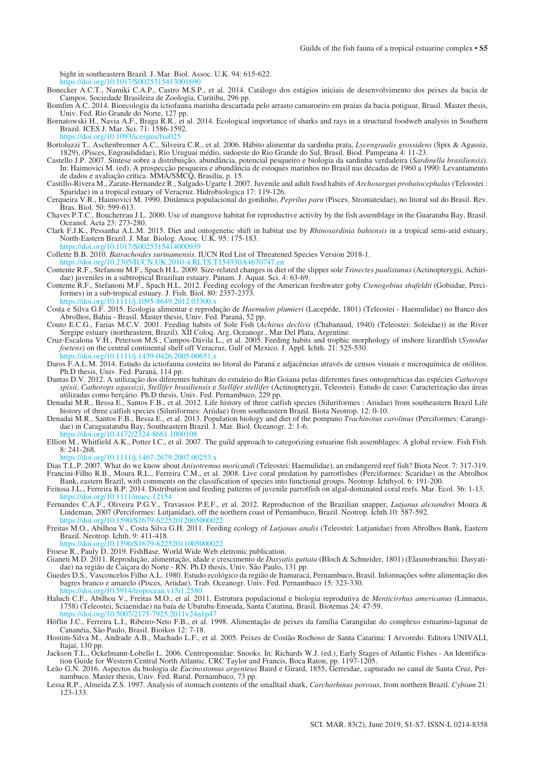bight in southeastern Brazil. J. Mar. Biol. Assoc. U.K. 94: 615-622.

https://doi.org/10.1017/S0025315413001690

- Bonecker A.C.T., Namiki C.A.P., Castro M.S.P., et al. 2014. Catálogo dos estágios iniciais de desenvolvimento dos peixes da bacia de Campos. Sociedade Brasileira de Zoologia, Curitiba, 296 pp.
- Bomfim A.C. 2014. Bioecologia da ictiofauna marinha descartada pelo arrasto camaroeiro em praias da bacia potiguar, Brasil. Master thesis, Univ. Fed. Rio Grande do Norte, 127 pp.
- Bornatowski H., Navia A.F., Braga R.R., et al. 2014. Ecological importance of sharks and rays in a structural foodweb analysis in Southern Brazil. ICES J. Mar. Sci. 71: 1586-1592.
- https://doi.org/10.1093/icesjms Bortoluzzi T., Aschenbrenner A.C., Silveira C.R., et al. 2006. Hábito alimentar da sardinha prata, *Lycengraulis grossidens* (Spix & Agassiz, 1829), (Pisces, Engraulididae), Rio Uruguai médio, sudoeste do Rio Grande do Sul, Brasil. Biod. Pampeana 4: 11-23.
- Castello J.P. 2007. Síntese sobre a distribuição, abundância, potencial pesqueiro e biologia da sardinha verdadeira (*Sardinella brasiliensis*). In: Haimovici M. (ed), A prospecção pesqueira e abundância de estoques marinhos no Brasil nas décadas de 1960 a 1990: Levantamento de dados e avaliação crítica. MMA/SMCQ, Brasília, p. 15.
- Castillo-Rivera M., Zarate-Hernandez R., Salgado-Ugarte I. 2007. Juvenile and adult food habits of *Archosargus probatocephalus* (Teloostei : Sparidae) in a tropical estuary of Veracruz. Hidrobiologica 17: 119-126.
- Cerqueira V.R., Haimovici M. 1990. Dinâmica populacional do gordinho, *Peprilus paru* (Pisces, Stromateidae), no litoral sul do Brasil. Rev. Bras. Biol. 50: 599-613.
- Chaves P.T.C., Bouchereau J.L. 2000. Use of mangrove habitat for reproductive activity by the fish assemblage in the Guaratuba Bay, Brasil. Oceanol. Acta 23: 273-280.
- Clark F.J.K., Pessanha A.L.M. 2015. Diet and ontogenetic shift in habitat use by *Rhinosardinia bahiensis* in a tropical semi-arid estuary, North-Eastern Brazil. J. Mar. Biolog. Assoc. U.K. 95: 175-183. https://doi.org/10.1017/S0025315414000939

Collette B.B. 2010. *Batrachoides surinamensis*. IUCN Red List of Threatened Species Version 2018-1.

**M.UK.2010-4.RLTS.T** 

- Contente R.F., Stefanoni M.F., Spach H.L. 2009. Size-related changes in diet of the slipper sole *Trinectes paulistanus* (Actinopterygii, Achiridae) juveniles in a subtropical Brazilian estuary. Panam. J. Aquat. Sci. 4: 63-69.
- Contente R.F., Stefanoni M.F., Spach H.L. 2012. Feeding ecology of the American freshwater goby *Ctenogobius shufeldti* (Gobiidae, Perciformes) in a sub-tropical estuary. J. Fish. Biol. 80: 2357-2373. https://j.1095-8649.2012.03300.
- Costa e Silva G.F. 2015. Ecologia alimentar e reprodução de *Haemulon plumieri* (Lacepéde, 1801) (Teleostei Haemulidae) no Banco dos Abrolhos, Bahia - Brasil. Master thesis, Univ. Fed. Paraná, 52 pp.
- Couto E.C.G., Farias M.C.V. 2001. Feeding habits of Sole Fish (*Achirus declivis* (Chabanaud, 1940) (Teleostei: Soleidae)) in the River Sergipe estuary (northeastern, Brazil). XII Coloq. Arg. Oceanogr., Mar Del Plata, Argentine.
- Cruz-Escalona V.H., Peterson M.S., Campos-Dávila L., et al. 2005. Feeding habits and trophic morphology of inshore lizardfish (*Synodus foetens*) on the central continental shelf off Veracruz, Gulf of Mexico. J. Appl. Ichth. 21: 525-530. 111/j.1439-0426.2005.00651.
- Daros F.A.L.M. 2014. Estudo da ictiofauna costeira no litoral do Paraná e adjacências através de censos visuais e microquímica de otólitos. Ph.D thesis, Univ. Fed. Paraná, 114 pp.
- Dantas D.V. 2012. A utilização dos diferentes habitats do estuário do Rio Goiana pelas diferentes fases ontogenéticas das espécies *Cathorops spixii*, *Cathorops agassizii*, *Stellifer brasiliensis* e *Stellifer stellifer* (Actinopterygii, Teleostei). Estudo de caso: Caracterização das áreas utilizadas como berçário. Ph.D thesis, Univ. Fed. Pernambuco, 229 pp.
- Denadai M.R., Bessa E., Santos F.B., et al. 2012. Life history of three catfish species (Siluriformes : Ariidae) from southeastern Brazil Life history of three catfish species (Siluriformes: Ariidae) from southeastern Brazil. Biota Neotrop. 12: 0-10.
- Denadai M.R., Santos F.B., Bessa E., et al. 2013. Population biology and diet of the pompano *Trachinotus carolinus* (Perciformes: Carangidae) in Caraguatatuba Bay, Southeastern Brazil. J. Mar. Biol. Oceanogr. 2: 1-6. https://doi.org/10.4172/2324-8661.1000108
- Elliott M., Whitfield A.K., Potter I.C., et al. 2007. The guild approach to categorizing estuarine fish assemblages: A global review. Fish Fish.  $8: 241-268.$

 $\frac{1}{2}$ /10.1111/j.1467-2679.2007.00253.x

- Dias T.L.P. 2007. What do we know about *Anisotremus moricandi* (Teleostei: Haemulidae), an endangered reef fish? Biota Neot. 7: 317-319. Francini-Filho R.B., Moura R.L., Ferreira C.M., et al. 2008. Live coral predation by parrotfishes (Perciformes: Scaridae) in the Abrolhos Bank, eastern Brazil, with comments on the classification of species into functional groups. Neotrop. Ichthyol. 6: 191-200.
- Feitosa J.L., Ferreira B.P. 2014. Distribution and feeding patterns of juvenile parrotfish on algal-dominated coral reefs. Mar. Ecol. 36: 1-13. https://doi.org/10.1111/maec.12154
- Fernandes C.A.F., Oliveira P.G.V., Travassos P.E.F., et al. 2012. Reproduction of the Brazilian snapper, *Lutjanus alexandrei* Moura & Lindeman, 2007 (Perciformes: Lutjanidae), off the northern coast of Pernambuco, Brazil. Neotrop. Ichth*.*10: 587-592. https://doi.org/10.1590/S1679-62252012005000022
- Freitas M.O., Abilhoa V., Costa Silva G.H. 2011. Feeding ecology of *Lutjanus analis* (Teleostei: Lutjanidae) from Abrolhos Bank, Eastern Brazil. Neotrop. Ichth. 9: 411-418.

https://doi.org/10.1590/S1679-62252011005000022

- Froese R., Pauly D. 2019. FishBase. World Wide Web eletronic publication.
- Gianeti M.D. 2011. Reprodução, alimentação, idade e crescimento de *Dasyatis guttata* (Bloch & Schneider, 1801) (Elasmobranchii: Dasyatidae) na região de Caiçara do Norte - RN. Ph.D thesis, Univ. São Paulo, 131 pp.
- Guedes D.S., Vasconcelos Filho A.L. 1980. Estudo ecológico da região de Itamaracá, Pernambuco, Brasil. Informações sobre alimentação dos bagres branco e amarelo (Pisces, Ariidae). Trab. Oceanogr. Univ. Fed. Pernambuco 15: 323-330. https://doi.org/10.5914/tropocean.v15i1
- Haluch C.F., Abilhoa V., Freitas M.O., et al. 2011. Estrutura populacional e biologia reprodutiva de *Menticirrhus americanus* (Linnaeus, 1758) (Teleostei, Sciaenidae) na baía de Ubatuba-Enseada, Santa Catarina, Brasil. Biotemas 24: 47-59. https://doi.org/10.5007/2175-7925.2011v24n1p47

Höflin J.C., Ferreira L.I., Ribeiro-Neto F.B., et al. 1998. Alimentação de peixes da família Carangidae do complexo estuarino-lagunar de Cananéia, São Paulo, Brasil. Bioikos 12: 7-18.

- Hostim-Silva M., Andrade A.B., Machado L.F., et al. 2005. Peixes de Costão Rochoso de Santa Catarina: I Arvoredo. Editora UNIVALI, Itajaí, 130 pp.
- Jackson T.L., Ockelmann-Lobello L. 2006. Centropomidae: Snooks. In: Richards W.J. (ed.), Early Stages of Atlantic Fishes An Identification Guide for Western Central North Atlantic. CRC Taylor and Francis, Boca Raton, pp. 1197-1205.
- Leão G.N. 2016. Aspectos da biologia de *Eucinostomus argenteus* Baird e Girard, 1855, Gerreidae, capturado no canal de Santa Cruz, Pernambuco. Master thesis, Univ. Fed. Rural. Pernambuco, 73 pp.
- Lessa R.P., Almeida Z.S. 1997. Analysis of stomach contents of the smalltail shark, *Carcharhinus porosus*, from northern Brazil. *Cybium* 21: 123-133.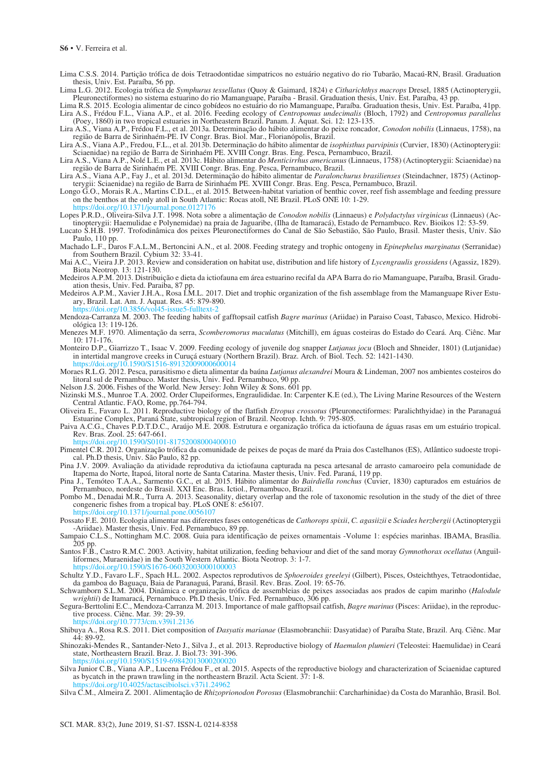Lima C.S.S. 2014. Partição trófica de dois Tetraodontidae simpatricos no estuário negativo do rio Tubarão, Macaú-RN, Brasil. Graduation thesis, Univ. Est. Paraíba, 56 pp.

Lima L.G. 2012. Ecologia trófica de *Symphurus tessellatus* (Quoy & Gaimard, 1824) e *Citharichthys macrops* Dresel, 1885 (Actinopterygii, Pleuronectiformes) no sistema estuarino do rio Mamanguape, Paraíba - Brasil. Graduation thesis, Univ. Est. Paraíba, 43 pp.

Lima R.S. 2015. Ecologia alimentar de cinco gobídeos no estuário do rio Mamanguape, Paraíba. Graduation thesis, Univ. Est. Paraíba, 41pp. Lira A.S., Frédou F.L., Viana A.P., et al. 2016. Feeding ecology of *Centropomus undecimalis* (Bloch, 1792) and *Centropomus parallelus* (Poey, 1860) in two tropical estuaries in Northeastern Brazil. Panam. J. Aquat. Sci. 12: 123-135.

Lira A.S., Viana A.P., Frédou F.L., et al. 2013a. Determinação do hábito alimentar do peixe roncador, *Conodon nobilis* (Linnaeus, 1758), na região de Barra de Sirinhaém-PE. IV Congr. Bras. Biol. Mar., Florianópolis, Brazil.

Lira A.S., Viana A.P., Fredou, F.L., et al. 2013b. Determinação do hábito alimentar de *isophisthus parvipinis* (Curvier, 1830) (Actinopterygii: Sciaenidae) na região de Barra de Sirinhaém PE. XVIII Congr. Bras. Eng. Pesca, Pernambuco, Brazil.

Lira A.S., Viana A.P., Nolé L.E., et al. 2013c. Hábito alimentar do *Menticirrhus americanus* (Linnaeus, 1758) (Actinopterygii: Sciaenidae) na região de Barra de Sirinhaém PE. XVIII Congr. Bras. Eng. Pesca, Pernambuco, Brazil.

Lira A.S., Viana A.P., Fay J., et al. 2013d. Determinação do hábito alimentar de *Paralonchurus brasilienses* (Steindachner, 1875) (Actinopterygii: Sciaenidae) na região de Barra de Sirinhaém PE. XVIII Congr. Bras. Eng. Pesca, Pernambuco, Brazil.

Longo G.O., Morais R.A., Martins C.D.L., et al. 2015. Between-habitat variation of benthic cover, reef fish assemblage and feeding pressure on the benthos at the only atoll in South Atlantic: Rocas atoll, NE Brazil. PLoS ONE 10: 1-29. https://doi.org/10.1371/journal.pone.0127176

Lopes P.R.D., Oliveira-Silva J.T. 1998. Nota sobre a alimentação de *Conodon nobilis* (Linnaeus) e *Polydactylus virginicus* (Linnaeus) (Actinopterygii: Haemulidae e Polynemidae) na praia de Jaguaribe, (Ilha de Itamaracá), Estado de Pernambuco. Rev. Bioikos 12: 53-59.

Lucato S.H.B. 1997. Trofodinâmica dos peixes Pleuronectiformes do Canal de São Sebastião, São Paulo, Brasil. Master thesis, Univ. São Paulo, 110 pp.

Machado L.F., Daros F.A.L.M., Bertoncini A.N., et al. 2008. Feeding strategy and trophic ontogeny in *Epinephelus marginatus* (Serranidae) from Southern Brazil. Cybium 32: 33-41.

Mai A.C., Vieira J.P. 2013. Review and consideration on habitat use, distribution and life history of *Lycengraulis grossidens* (Agassiz, 1829). Biota Neotrop. 13: 121-130.

Medeiros A.P.M. 2013. Distribuição e dieta da ictiofauna em área estuarino recifal da APA Barra do rio Mamanguape, Paraíba, Brasil. Graduation thesis, Univ. Fed. Paraiba, 87 pp.

- Medeiros A.P.M., Xavier J.H.A., Rosa I.M.L. 2017. Diet and trophic organization of the fish assemblage from the Mamanguape River Estuary, Brazil. Lat. Am. J. Aquat. Res. 45: 879-890. https://doi.org/10.3856/vol45-issue5-fulltext-2
- Mendoza-Carranza M. 2003. The feeding habits of gafftopsail catfish *Bagre marinus* (Ariidae) in Paraiso Coast, Tabasco, Mexico. Hidrobiológica 13: 119-126.
- Menezes M.F. 1970. Alimentação da serra, *Scomberomorus maculatus* (Mitchill), em águas costeiras do Estado do Ceará. Arq. Ciênc. Mar 10: 171-176.
- Monteiro D.P., Giarrizzo T., Isaac V. 2009. Feeding ecology of juvenile dog snapper *Lutjanus jocu* (Bloch and Shneider, 1801) (Lutjanidae) in intertidal mangrove creeks in Curuçá estuary (Northern Brazil). Braz. Arch. of Biol. Tech. 52: 1421-1430. https://doi.org/10.1590/S1516-89132

Moraes R.L.G. 2012. Pesca, parasitismo e dieta alimentar da baúna *Lutjanus alexandrei* Moura & Lindeman, 2007 nos ambientes costeiros do litoral sul de Pernambuco. Master thesis, Univ. Fed. Pernambuco, 90 pp.

Nelson J.S. 2006. Fishes of the World. New Jersey: John Wiley & Sons. 601 pp.

- Nizinski M.S., Munroe T.A. 2002. Order Clupeiformes, Engraulididae. In: Carpenter K.E (ed.), The Living Marine Resources of the Western Central Atlantic. FAO, Rome, pp.764-794.
- Oliveira E., Favaro L. 2011. Reproductive biology of the flatfish *Etropus crossotus* (Pleuronectiformes: Paralichthyidae) in the Paranaguá Estuarine Complex, Paraná State, subtropical region of Brazil. Neotrop. Ichth. 9: 795-805.
- Paiva A.C.G., Chaves P.D.T.D.C., Araújo M.E. 2008. Estrutura e organização trófica da ictiofauna de águas rasas em um estuário tropical. Rev. Bras. Zool. 25: 647-661.

https://doi.org/10.1590/S0101-81752008000400010

- Pimentel C.R. 2012. Organização trófica da comunidade de peixes de poças de maré da Praia dos Castelhanos (ES), Atlântico sudoeste tropical. Ph.D thesis, Univ. São Paulo, 82 pp.
- Pina J.V. 2009. Avaliação da atividade reprodutiva da ictiofauna capturada na pesca artesanal de arrasto camaroeiro pela comunidade de Itapema do Norte, Itapoá, litoral norte de Santa Catarina. Master thesis, Univ. Fed. Paraná, 119 pp.

Pina J., Temóteo T.A.A., Sarmento G.C., et al. 2015. Hábito alimentar do *Bairdiella ronchus* (Cuvier, 1830) capturados em estuários de Pernambuco, nordeste do Brasil. XXI Enc. Bras. Ictiol., Pernambuco, Brazil.

Pombo M., Denadai M.R., Turra A. 2013. Seasonality, dietary overlap and the role of taxonomic resolution in the study of the diet of three congeneric fishes from a tropical bay. PLoS ONE 8: e56107. burnal.pone

Possato F.E. 2010. Ecologia alimentar nas diferentes fases ontogenéticas de *Cathorops spixii*, *C. agasiizii* e *Sciades herzbergii* (Actinopterygii -Ariidae). Master thesis, Univ. Fed. Pernambuco, 89 pp.

Sampaio C.L.S., Nottingham M.C. 2008. Guia para identificação de peixes ornamentais -Volume 1: espécies marinhas. IBAMA, Brasília. 205 pp.

Santos F.B., Castro R.M.C. 2003. Activity, habitat utilization, feeding behaviour and diet of the sand moray *Gymnothorax ocellatus* (Anguilliformes, Muraenidae) in the South Western Atlantic. Biota Neotrop. 3: 1-7. rg/10.1590/S1676-06032003000100003

Schultz Y.D., Favaro L.F., Spach H.L. 2002. Aspectos reprodutivos de *Sphoeroides greeleyi* (Gilbert), Pisces, Osteichthyes, Tetraodontidae, da gamboa do Baguaçu, Baia de Paranaguá, Paraná, Brasil. Rev. Bras. Zool. 19: 65-76.

Schwamborn S.L.M. 2004. Dinâmica e organização trófica de assembleias de peixes associadas aos prados de capim marinho (*Halodule wrightii*) de Itamaracá, Pernambuco. Ph.D thesis, Univ. Fed. Pernambuco, 306 pp.

Segura-Berttolini E.C., Mendoza-Carranza M. 2013. Importance of male gafftopsail catfish, *Bagre marinus* (Pisces: Ariidae), in the reproductive process. Ciênc. Mar*.* 39: 29-39.

3/cm.v39i1.2136

Shibuya A., Rosa R.S. 2011. Diet composition of *Dasyatis marianae* (Elasmobranchii: Dasyatidae) of Paraíba State, Brazil. Arq. Ciênc. Mar 44: 89-92.

Shinozaki-Mendes R., Santander-Neto J., Silva J., et al. 2013. Reproductive biology of *Haemulon plumieri* (Teleostei: Haemulidae) in Ceará state, Northeastern Brazil. Braz. J. Biol.73: 391-396.<br>https://doi.org/10.1590/S1519-69842013000200020 https://doi.org/10.1590/S1519-69842013000200020

Silva Junior C.B., Viana A.P., Lucena Frédou F., et al. 2015. Aspects of the reproductive biology and characterization of Sciaenidae captured as bycatch in the prawn trawling in the northeastern Brazil. Acta Scient. 37: 1-8. https://doi.org/10.4025/actascibiolsci.v37i1.24962

Silva C.M., Almeira Z. 2001. Alimentação de *Rhizoprionodon Porosus* (Elasmobranchii: Carcharhinidae) da Costa do Maranhão, Brasil. Bol.